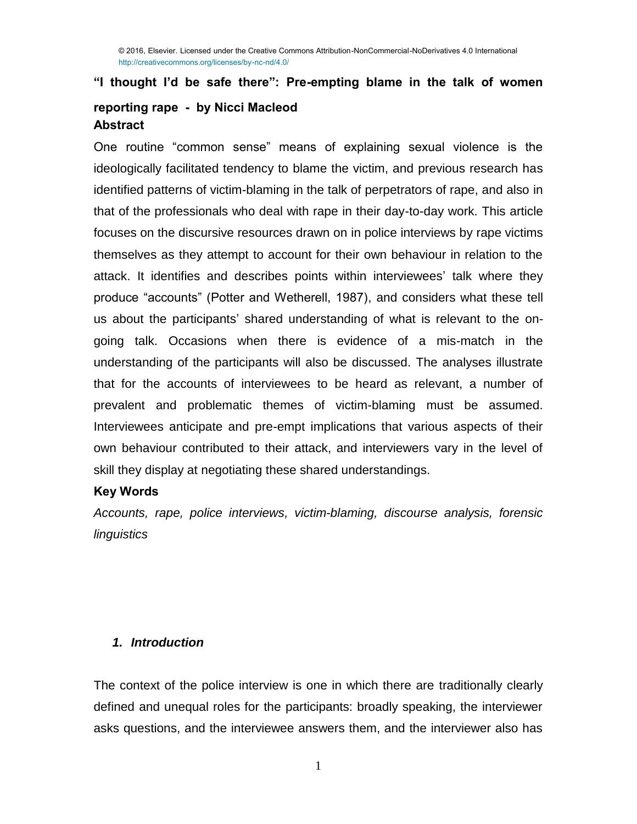# **"I thought I'd be safe there": Pre-empting blame in the talk of women reporting rape - by Nicci Macleod Abstract**

One routine "common sense" means of explaining sexual violence is the ideologically facilitated tendency to blame the victim, and previous research has identified patterns of victim-blaming in the talk of perpetrators of rape, and also in that of the professionals who deal with rape in their day-to-day work. This article focuses on the discursive resources drawn on in police interviews by rape victims themselves as they attempt to account for their own behaviour in relation to the attack. It identifies and describes points within interviewees' talk where they produce "accounts" (Potter and Wetherell, 1987), and considers what these tell us about the participants' shared understanding of what is relevant to the ongoing talk. Occasions when there is evidence of a mis-match in the understanding of the participants will also be discussed. The analyses illustrate that for the accounts of interviewees to be heard as relevant, a number of prevalent and problematic themes of victim-blaming must be assumed. Interviewees anticipate and pre-empt implications that various aspects of their own behaviour contributed to their attack, and interviewers vary in the level of skill they display at negotiating these shared understandings.

# **Key Words**

*Accounts, rape, police interviews, victim-blaming, discourse analysis, forensic linguistics* 

# *1. Introduction*

The context of the police interview is one in which there are traditionally clearly defined and unequal roles for the participants: broadly speaking, the interviewer asks questions, and the interviewee answers them, and the interviewer also has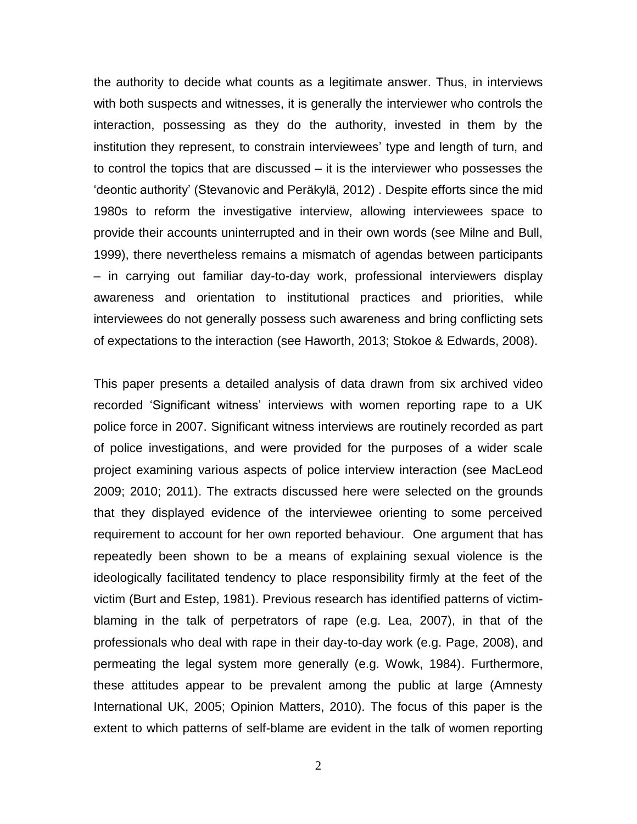the authority to decide what counts as a legitimate answer. Thus, in interviews with both suspects and witnesses, it is generally the interviewer who controls the interaction, possessing as they do the authority, invested in them by the institution they represent, to constrain interviewees' type and length of turn, and to control the topics that are discussed – it is the interviewer who possesses the 'deontic authority' (Stevanovic and Peräkylä, 2012) . Despite efforts since the mid 1980s to reform the investigative interview, allowing interviewees space to provide their accounts uninterrupted and in their own words (see Milne and Bull, 1999), there nevertheless remains a mismatch of agendas between participants – in carrying out familiar day-to-day work, professional interviewers display awareness and orientation to institutional practices and priorities, while interviewees do not generally possess such awareness and bring conflicting sets of expectations to the interaction (see Haworth, 2013; Stokoe & Edwards, 2008).

This paper presents a detailed analysis of data drawn from six archived video recorded 'Significant witness' interviews with women reporting rape to a UK police force in 2007. Significant witness interviews are routinely recorded as part of police investigations, and were provided for the purposes of a wider scale project examining various aspects of police interview interaction (see MacLeod 2009; 2010; 2011). The extracts discussed here were selected on the grounds that they displayed evidence of the interviewee orienting to some perceived requirement to account for her own reported behaviour. One argument that has repeatedly been shown to be a means of explaining sexual violence is the ideologically facilitated tendency to place responsibility firmly at the feet of the victim (Burt and Estep, 1981). Previous research has identified patterns of victimblaming in the talk of perpetrators of rape (e.g. Lea, 2007), in that of the professionals who deal with rape in their day-to-day work (e.g. Page, 2008), and permeating the legal system more generally (e.g. Wowk, 1984). Furthermore, these attitudes appear to be prevalent among the public at large (Amnesty International UK, 2005; Opinion Matters, 2010). The focus of this paper is the extent to which patterns of self-blame are evident in the talk of women reporting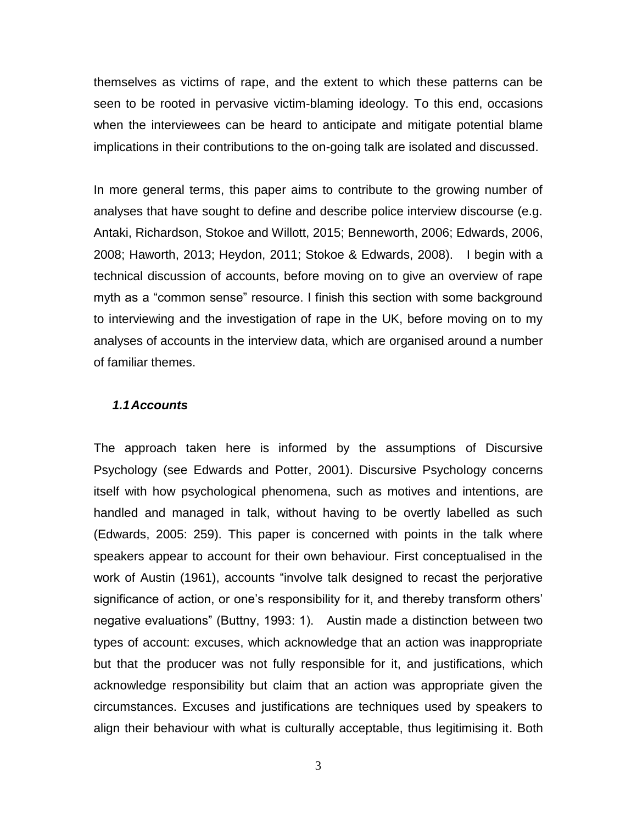themselves as victims of rape, and the extent to which these patterns can be seen to be rooted in pervasive victim-blaming ideology. To this end, occasions when the interviewees can be heard to anticipate and mitigate potential blame implications in their contributions to the on-going talk are isolated and discussed.

In more general terms, this paper aims to contribute to the growing number of analyses that have sought to define and describe police interview discourse (e.g. Antaki, Richardson, Stokoe and Willott, 2015; Benneworth, 2006; Edwards, 2006, 2008; Haworth, 2013; Heydon, 2011; Stokoe & Edwards, 2008). I begin with a technical discussion of accounts, before moving on to give an overview of rape myth as a "common sense" resource. I finish this section with some background to interviewing and the investigation of rape in the UK, before moving on to my analyses of accounts in the interview data, which are organised around a number of familiar themes.

### *1.1 Accounts*

The approach taken here is informed by the assumptions of Discursive Psychology (see Edwards and Potter, 2001). Discursive Psychology concerns itself with how psychological phenomena, such as motives and intentions, are handled and managed in talk, without having to be overtly labelled as such (Edwards, 2005: 259). This paper is concerned with points in the talk where speakers appear to account for their own behaviour. First conceptualised in the work of Austin (1961), accounts "involve talk designed to recast the perjorative significance of action, or one's responsibility for it, and thereby transform others' negative evaluations" (Buttny, 1993: 1). Austin made a distinction between two types of account: excuses, which acknowledge that an action was inappropriate but that the producer was not fully responsible for it, and justifications, which acknowledge responsibility but claim that an action was appropriate given the circumstances. Excuses and justifications are techniques used by speakers to align their behaviour with what is culturally acceptable, thus legitimising it. Both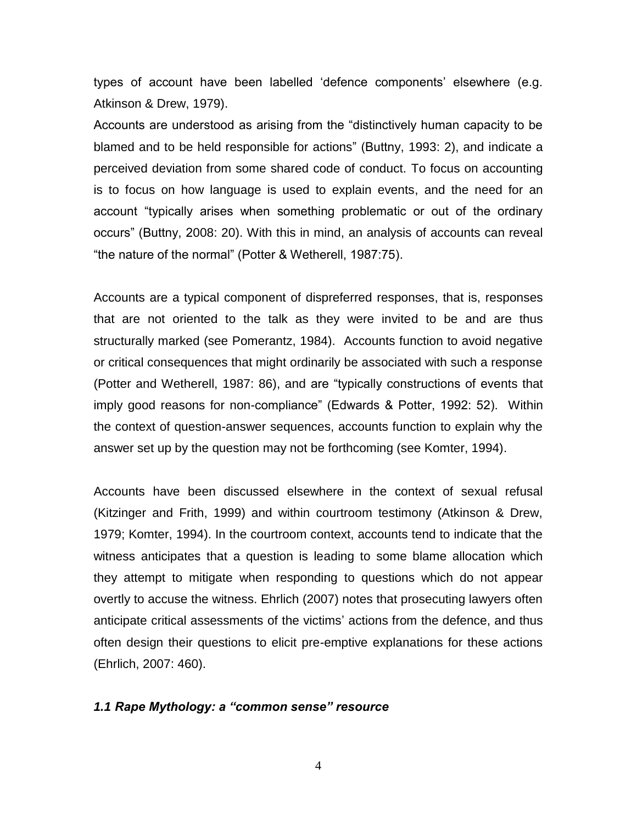types of account have been labelled 'defence components' elsewhere (e.g. Atkinson & Drew, 1979).

Accounts are understood as arising from the "distinctively human capacity to be blamed and to be held responsible for actions" (Buttny, 1993: 2), and indicate a perceived deviation from some shared code of conduct. To focus on accounting is to focus on how language is used to explain events, and the need for an account "typically arises when something problematic or out of the ordinary occurs" (Buttny, 2008: 20). With this in mind, an analysis of accounts can reveal "the nature of the normal" (Potter & Wetherell, 1987:75).

Accounts are a typical component of dispreferred responses, that is, responses that are not oriented to the talk as they were invited to be and are thus structurally marked (see Pomerantz, 1984). Accounts function to avoid negative or critical consequences that might ordinarily be associated with such a response (Potter and Wetherell, 1987: 86), and are "typically constructions of events that imply good reasons for non-compliance" (Edwards & Potter, 1992: 52). Within the context of question-answer sequences, accounts function to explain why the answer set up by the question may not be forthcoming (see Komter, 1994).

Accounts have been discussed elsewhere in the context of sexual refusal (Kitzinger and Frith, 1999) and within courtroom testimony (Atkinson & Drew, 1979; Komter, 1994). In the courtroom context, accounts tend to indicate that the witness anticipates that a question is leading to some blame allocation which they attempt to mitigate when responding to questions which do not appear overtly to accuse the witness. Ehrlich (2007) notes that prosecuting lawyers often anticipate critical assessments of the victims' actions from the defence, and thus often design their questions to elicit pre-emptive explanations for these actions (Ehrlich, 2007: 460).

# *1.1 Rape Mythology: a "common sense" resource*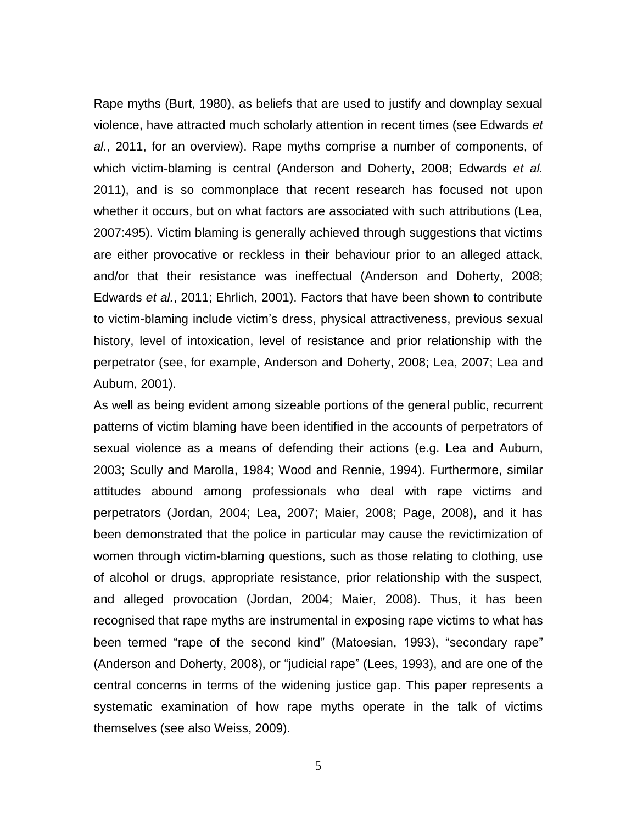Rape myths (Burt, 1980), as beliefs that are used to justify and downplay sexual violence, have attracted much scholarly attention in recent times (see Edwards *et al.*, 2011, for an overview). Rape myths comprise a number of components, of which victim-blaming is central (Anderson and Doherty, 2008; Edwards *et al.*  2011), and is so commonplace that recent research has focused not upon whether it occurs, but on what factors are associated with such attributions (Lea, 2007:495). Victim blaming is generally achieved through suggestions that victims are either provocative or reckless in their behaviour prior to an alleged attack, and/or that their resistance was ineffectual (Anderson and Doherty, 2008; Edwards *et al.*, 2011; Ehrlich, 2001). Factors that have been shown to contribute to victim-blaming include victim's dress, physical attractiveness, previous sexual history, level of intoxication, level of resistance and prior relationship with the perpetrator (see, for example, Anderson and Doherty, 2008; Lea, 2007; Lea and Auburn, 2001).

As well as being evident among sizeable portions of the general public, recurrent patterns of victim blaming have been identified in the accounts of perpetrators of sexual violence as a means of defending their actions (e.g. Lea and Auburn, 2003; Scully and Marolla, 1984; Wood and Rennie, 1994). Furthermore, similar attitudes abound among professionals who deal with rape victims and perpetrators (Jordan, 2004; Lea, 2007; Maier, 2008; Page, 2008), and it has been demonstrated that the police in particular may cause the revictimization of women through victim-blaming questions, such as those relating to clothing, use of alcohol or drugs, appropriate resistance, prior relationship with the suspect, and alleged provocation (Jordan, 2004; Maier, 2008). Thus, it has been recognised that rape myths are instrumental in exposing rape victims to what has been termed "rape of the second kind" (Matoesian, 1993), "secondary rape" (Anderson and Doherty, 2008), or "judicial rape" (Lees, 1993), and are one of the central concerns in terms of the widening justice gap. This paper represents a systematic examination of how rape myths operate in the talk of victims themselves (see also Weiss, 2009).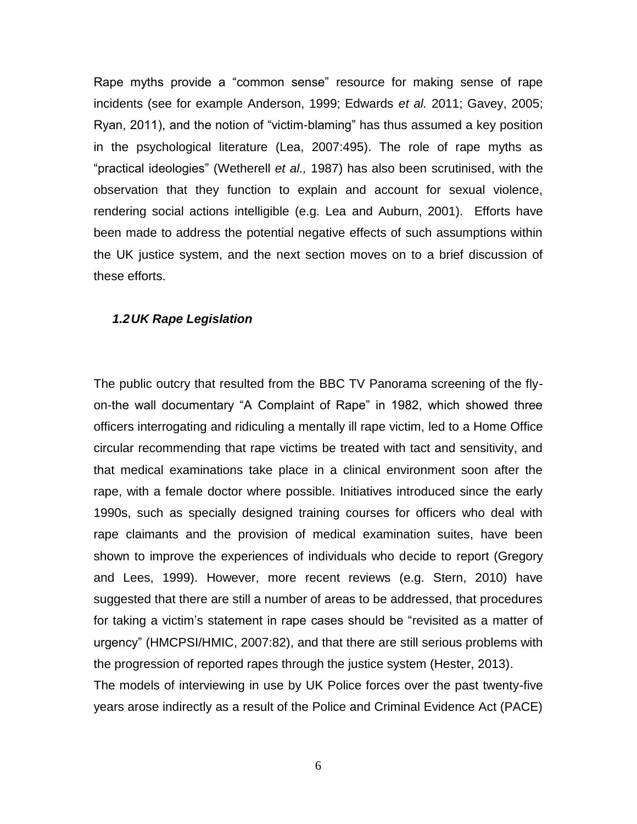Rape myths provide a "common sense" resource for making sense of rape incidents (see for example Anderson, 1999; Edwards *et al.* 2011; Gavey, 2005; Ryan, 2011), and the notion of "victim-blaming" has thus assumed a key position in the psychological literature (Lea, 2007:495). The role of rape myths as "practical ideologies" (Wetherell *et al.,* 1987) has also been scrutinised, with the observation that they function to explain and account for sexual violence, rendering social actions intelligible (e.g. Lea and Auburn, 2001). Efforts have been made to address the potential negative effects of such assumptions within the UK justice system, and the next section moves on to a brief discussion of these efforts.

#### *1.2 UK Rape Legislation*

The public outcry that resulted from the BBC TV Panorama screening of the flyon-the wall documentary "A Complaint of Rape" in 1982, which showed three officers interrogating and ridiculing a mentally ill rape victim, led to a Home Office circular recommending that rape victims be treated with tact and sensitivity, and that medical examinations take place in a clinical environment soon after the rape, with a female doctor where possible. Initiatives introduced since the early 1990s, such as specially designed training courses for officers who deal with rape claimants and the provision of medical examination suites, have been shown to improve the experiences of individuals who decide to report (Gregory and Lees, 1999). However, more recent reviews (e.g. Stern, 2010) have suggested that there are still a number of areas to be addressed, that procedures for taking a victim's statement in rape cases should be "revisited as a matter of urgency" (HMCPSI/HMIC, 2007:82), and that there are still serious problems with the progression of reported rapes through the justice system (Hester, 2013).

The models of interviewing in use by UK Police forces over the past twenty-five years arose indirectly as a result of the Police and Criminal Evidence Act (PACE)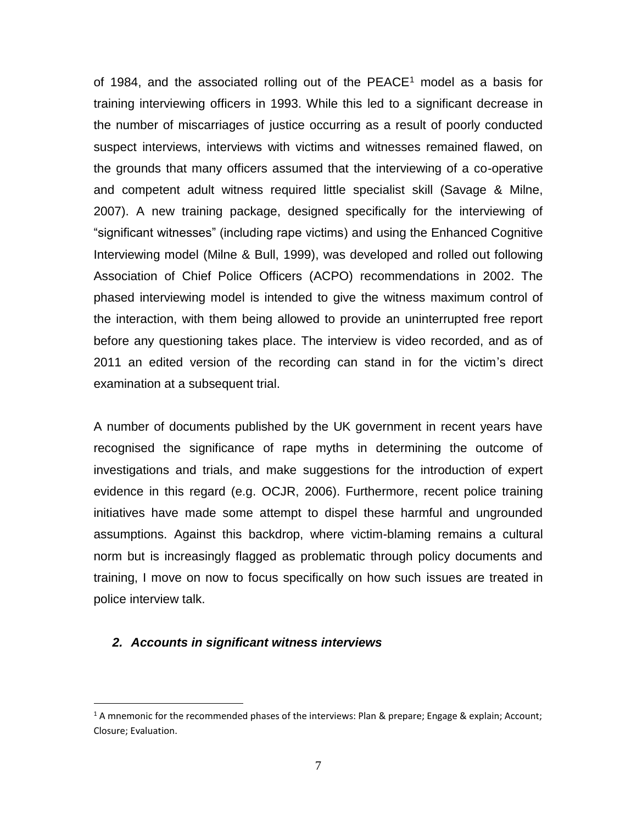of 1984, and the associated rolling out of the  $PEACE<sup>1</sup>$  model as a basis for training interviewing officers in 1993. While this led to a significant decrease in the number of miscarriages of justice occurring as a result of poorly conducted suspect interviews, interviews with victims and witnesses remained flawed, on the grounds that many officers assumed that the interviewing of a co-operative and competent adult witness required little specialist skill (Savage & Milne, 2007). A new training package, designed specifically for the interviewing of "significant witnesses" (including rape victims) and using the Enhanced Cognitive Interviewing model (Milne & Bull, 1999), was developed and rolled out following Association of Chief Police Officers (ACPO) recommendations in 2002. The phased interviewing model is intended to give the witness maximum control of the interaction, with them being allowed to provide an uninterrupted free report before any questioning takes place. The interview is video recorded, and as of 2011 an edited version of the recording can stand in for the victim's direct examination at a subsequent trial.

A number of documents published by the UK government in recent years have recognised the significance of rape myths in determining the outcome of investigations and trials, and make suggestions for the introduction of expert evidence in this regard (e.g. OCJR, 2006). Furthermore, recent police training initiatives have made some attempt to dispel these harmful and ungrounded assumptions. Against this backdrop, where victim-blaming remains a cultural norm but is increasingly flagged as problematic through policy documents and training, I move on now to focus specifically on how such issues are treated in police interview talk.

## *2. Accounts in significant witness interviews*

 $\overline{a}$ 

 $1$  A mnemonic for the recommended phases of the interviews: Plan & prepare; Engage & explain; Account; Closure; Evaluation.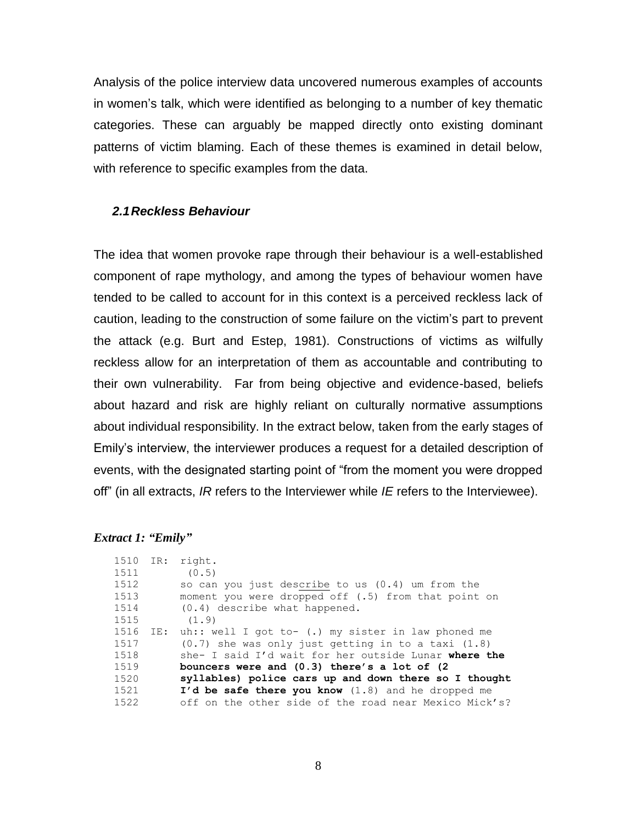Analysis of the police interview data uncovered numerous examples of accounts in women's talk, which were identified as belonging to a number of key thematic categories. These can arguably be mapped directly onto existing dominant patterns of victim blaming. Each of these themes is examined in detail below, with reference to specific examples from the data.

## *2.1 Reckless Behaviour*

The idea that women provoke rape through their behaviour is a well-established component of rape mythology, and among the types of behaviour women have tended to be called to account for in this context is a perceived reckless lack of caution, leading to the construction of some failure on the victim's part to prevent the attack (e.g. Burt and Estep, 1981). Constructions of victims as wilfully reckless allow for an interpretation of them as accountable and contributing to their own vulnerability. Far from being objective and evidence-based, beliefs about hazard and risk are highly reliant on culturally normative assumptions about individual responsibility. In the extract below, taken from the early stages of Emily's interview, the interviewer produces a request for a detailed description of events, with the designated starting point of "from the moment you were dropped off" (in all extracts, *IR* refers to the Interviewer while *IE* refers to the Interviewee).

## *Extract 1: "Emily"*

| 1510 | IR: | right.                                                 |
|------|-----|--------------------------------------------------------|
| 1511 |     | (0.5)                                                  |
| 1512 |     | so can you just describe to us $(0.4)$ um from the     |
| 1513 |     | moment you were dropped off (.5) from that point on    |
| 1514 |     | $(0.4)$ describe what happened.                        |
| 1515 |     | (1.9)                                                  |
| 1516 | IE: | uh:: well I got to- (.) my sister in law phoned me     |
| 1517 |     | $(0.7)$ she was only just getting in to a taxi $(1.8)$ |
| 1518 |     | she- I said I'd wait for her outside Lunar where the   |
| 1519 |     | bouncers were and (0.3) there's a lot of (2)           |
| 1520 |     | syllables) police cars up and down there so I thought  |
| 1521 |     | I'd be safe there you know (1.8) and he dropped me     |
| 1522 |     | off on the other side of the road near Mexico Mick's?  |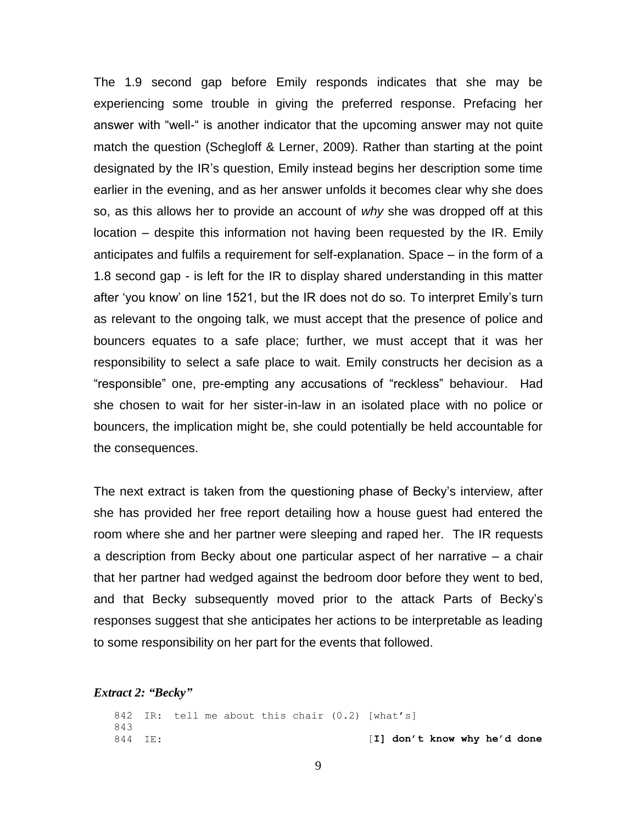The 1.9 second gap before Emily responds indicates that she may be experiencing some trouble in giving the preferred response. Prefacing her answer with "well-" is another indicator that the upcoming answer may not quite match the question (Schegloff & Lerner, 2009). Rather than starting at the point designated by the IR's question, Emily instead begins her description some time earlier in the evening, and as her answer unfolds it becomes clear why she does so, as this allows her to provide an account of *why* she was dropped off at this location – despite this information not having been requested by the IR. Emily anticipates and fulfils a requirement for self-explanation. Space – in the form of a 1.8 second gap - is left for the IR to display shared understanding in this matter after 'you know' on line 1521, but the IR does not do so. To interpret Emily's turn as relevant to the ongoing talk, we must accept that the presence of police and bouncers equates to a safe place; further, we must accept that it was her responsibility to select a safe place to wait. Emily constructs her decision as a "responsible" one, pre-empting any accusations of "reckless" behaviour. Had she chosen to wait for her sister-in-law in an isolated place with no police or bouncers, the implication might be, she could potentially be held accountable for the consequences.

The next extract is taken from the questioning phase of Becky's interview, after she has provided her free report detailing how a house guest had entered the room where she and her partner were sleeping and raped her. The IR requests a description from Becky about one particular aspect of her narrative – a chair that her partner had wedged against the bedroom door before they went to bed, and that Becky subsequently moved prior to the attack Parts of Becky's responses suggest that she anticipates her actions to be interpretable as leading to some responsibility on her part for the events that followed.

#### *Extract 2: "Becky"*

842 IR: tell me about this chair (0.2) [what's] 843 844 IE: [**I] don't know why he'd done**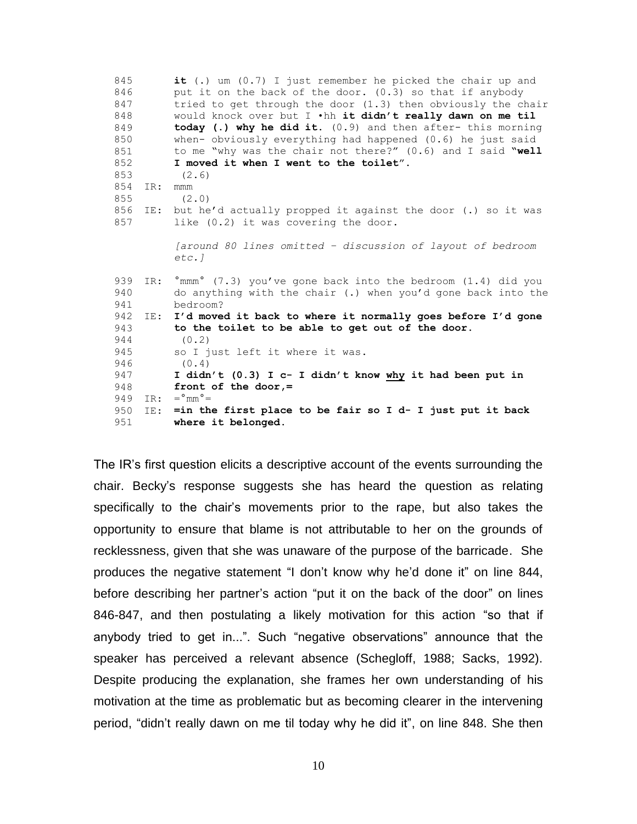845 846 847 848 849 850 851 852 853 854 IR: mmm 855 856 IE: but he'd actually propped it against the door (.) so it was 857 939 IR: °mmm° (7.3) you've gone back into the bedroom (1.4) did you 940 941 942 IE: **I'd moved it back to where it normally goes before I'd gone**  943 944 945 946 947 948 949 IR: =  $\degree$ mm  $\degree$  = 950 IE: **=in the first place to be fair so I d- I just put it back**  951 **it** (.) um (0.7) I just remember he picked the chair up and put it on the back of the door. (0.3) so that if anybody tried to get through the door (1.3) then obviously the chair would knock over but I •hh **it didn't really dawn on me til today (.) why he did it.** (0.9) and then after- this morning when- obviously everything had happened (0.6) he just said to me "why was the chair not there?" (0.6) and I said **"well I moved it when I went to the toilet**". (2.6) (2.0) like (0.2) it was covering the door. *[around 80 lines omitted – discussion of layout of bedroom etc.]* do anything with the chair (.) when you'd gone back into the bedroom? **to the toilet to be able to get out of the door.** (0.2) so I just left it where it was. (0.4) **I didn't (0.3) I c- I didn't know why it had been put in front of the door,= where it belonged.**

The IR's first question elicits a descriptive account of the events surrounding the chair. Becky's response suggests she has heard the question as relating specifically to the chair's movements prior to the rape, but also takes the opportunity to ensure that blame is not attributable to her on the grounds of recklessness, given that she was unaware of the purpose of the barricade. She produces the negative statement "I don't know why he'd done it" on line 844, before describing her partner's action "put it on the back of the door" on lines 846-847, and then postulating a likely motivation for this action "so that if anybody tried to get in...". Such "negative observations" announce that the speaker has perceived a relevant absence (Schegloff, 1988; Sacks, 1992). Despite producing the explanation, she frames her own understanding of his motivation at the time as problematic but as becoming clearer in the intervening period, "didn't really dawn on me til today why he did it", on line 848. She then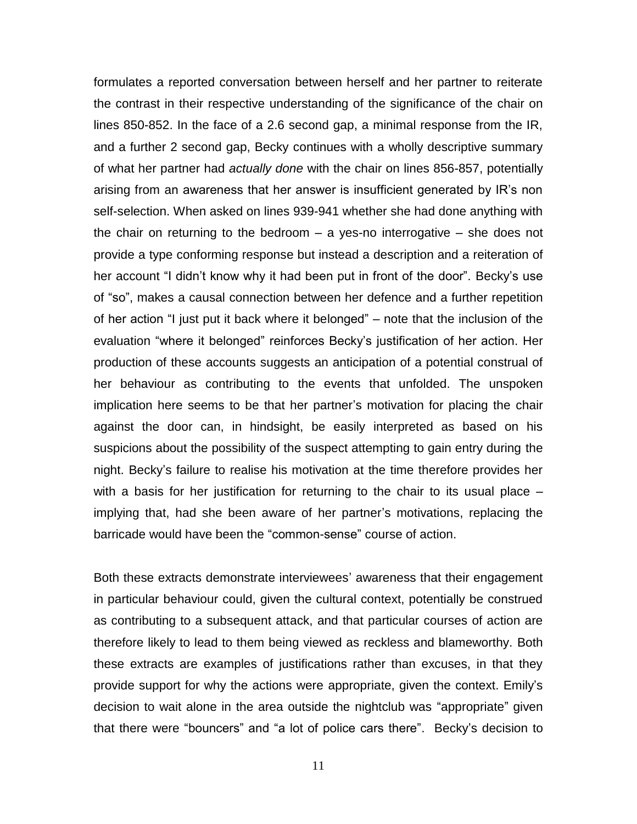formulates a reported conversation between herself and her partner to reiterate the contrast in their respective understanding of the significance of the chair on lines 850-852. In the face of a 2.6 second gap, a minimal response from the IR, and a further 2 second gap, Becky continues with a wholly descriptive summary of what her partner had *actually done* with the chair on lines 856-857, potentially arising from an awareness that her answer is insufficient generated by IR's non self-selection. When asked on lines 939-941 whether she had done anything with the chair on returning to the bedroom – a yes-no interrogative – she does not provide a type conforming response but instead a description and a reiteration of her account "I didn't know why it had been put in front of the door". Becky's use of "so", makes a causal connection between her defence and a further repetition of her action "I just put it back where it belonged" – note that the inclusion of the evaluation "where it belonged" reinforces Becky's justification of her action. Her production of these accounts suggests an anticipation of a potential construal of her behaviour as contributing to the events that unfolded. The unspoken implication here seems to be that her partner's motivation for placing the chair against the door can, in hindsight, be easily interpreted as based on his suspicions about the possibility of the suspect attempting to gain entry during the night. Becky's failure to realise his motivation at the time therefore provides her with a basis for her justification for returning to the chair to its usual place – implying that, had she been aware of her partner's motivations, replacing the barricade would have been the "common-sense" course of action.

Both these extracts demonstrate interviewees' awareness that their engagement in particular behaviour could, given the cultural context, potentially be construed as contributing to a subsequent attack, and that particular courses of action are therefore likely to lead to them being viewed as reckless and blameworthy. Both these extracts are examples of justifications rather than excuses, in that they provide support for why the actions were appropriate, given the context. Emily's decision to wait alone in the area outside the nightclub was "appropriate" given that there were "bouncers" and "a lot of police cars there". Becky's decision to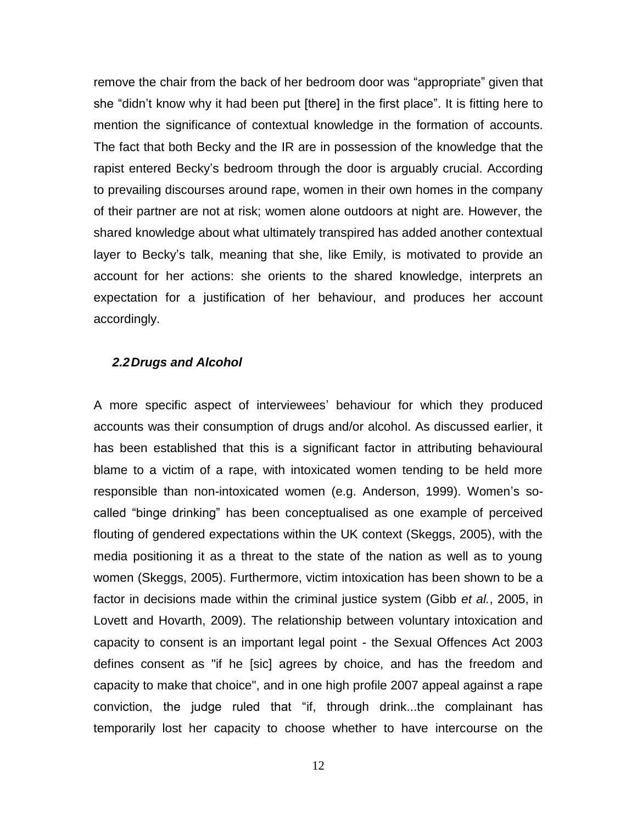remove the chair from the back of her bedroom door was "appropriate" given that she "didn't know why it had been put [there] in the first place". It is fitting here to mention the significance of contextual knowledge in the formation of accounts. The fact that both Becky and the IR are in possession of the knowledge that the rapist entered Becky's bedroom through the door is arguably crucial. According to prevailing discourses around rape, women in their own homes in the company of their partner are not at risk; women alone outdoors at night are. However, the shared knowledge about what ultimately transpired has added another contextual layer to Becky's talk, meaning that she, like Emily, is motivated to provide an account for her actions: she orients to the shared knowledge, interprets an expectation for a justification of her behaviour, and produces her account accordingly.

#### *2.2 Drugs and Alcohol*

A more specific aspect of interviewees' behaviour for which they produced accounts was their consumption of drugs and/or alcohol. As discussed earlier, it has been established that this is a significant factor in attributing behavioural blame to a victim of a rape, with intoxicated women tending to be held more responsible than non-intoxicated women (e.g. Anderson, 1999). Women's socalled "binge drinking" has been conceptualised as one example of perceived flouting of gendered expectations within the UK context (Skeggs, 2005), with the media positioning it as a threat to the state of the nation as well as to young women (Skeggs, 2005). Furthermore, victim intoxication has been shown to be a factor in decisions made within the criminal justice system (Gibb *et al.*, 2005, in Lovett and Hovarth, 2009). The relationship between voluntary intoxication and capacity to consent is an important legal point - the Sexual Offences Act 2003 defines consent as "if he [sic] agrees by choice, and has the freedom and capacity to make that choice", and in one high profile 2007 appeal against a rape conviction, the judge ruled that "if, through drink...the complainant has temporarily lost her capacity to choose whether to have intercourse on the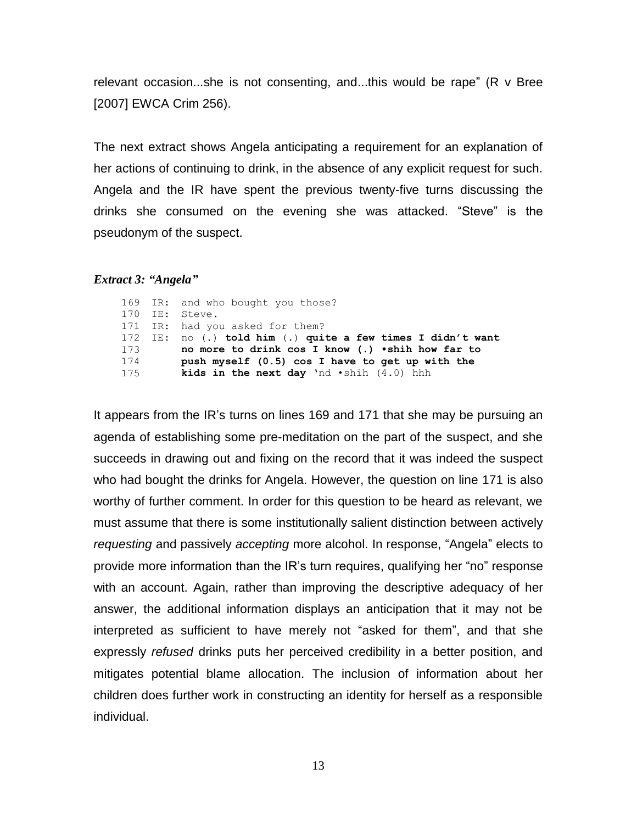relevant occasion...she is not consenting, and...this would be rape" (R v Bree [2007] EWCA Crim 256).

The next extract shows Angela anticipating a requirement for an explanation of her actions of continuing to drink, in the absence of any explicit request for such. Angela and the IR have spent the previous twenty-five turns discussing the drinks she consumed on the evening she was attacked. "Steve" is the pseudonym of the suspect.

#### *Extract 3: "Angela"*

|     | 169 IR: and who bought you those?                             |
|-----|---------------------------------------------------------------|
|     | 170 IE: Steve.                                                |
|     | 171 IR: had you asked for them?                               |
|     | $172$ IE: no (.) told him (.) quite a few times I didn't want |
| 173 | no more to drink cos I know (.) .shih how far to              |
| 174 | push myself (0.5) cos I have to get up with the               |
| 175 | <b>kids in the next day</b> 'nd $\bullet$ shih $(4.0)$ hhh    |

It appears from the IR's turns on lines 169 and 171 that she may be pursuing an agenda of establishing some pre-meditation on the part of the suspect, and she succeeds in drawing out and fixing on the record that it was indeed the suspect who had bought the drinks for Angela. However, the question on line 171 is also worthy of further comment. In order for this question to be heard as relevant, we must assume that there is some institutionally salient distinction between actively *requesting* and passively *accepting* more alcohol. In response, "Angela" elects to provide more information than the IR's turn requires, qualifying her "no" response with an account. Again, rather than improving the descriptive adequacy of her answer, the additional information displays an anticipation that it may not be interpreted as sufficient to have merely not "asked for them", and that she expressly *refused* drinks puts her perceived credibility in a better position, and mitigates potential blame allocation. The inclusion of information about her children does further work in constructing an identity for herself as a responsible individual.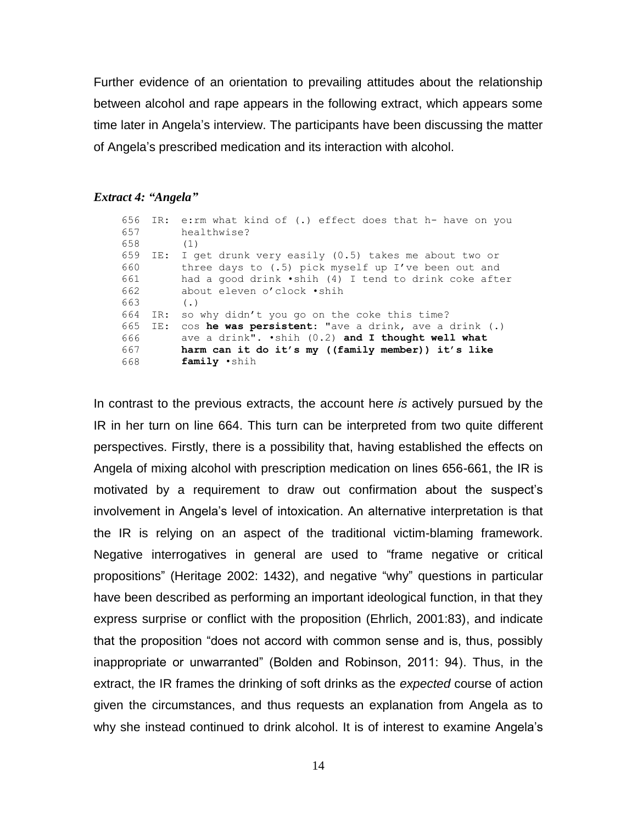Further evidence of an orientation to prevailing attitudes about the relationship between alcohol and rape appears in the following extract, which appears some time later in Angela's interview. The participants have been discussing the matter of Angela's prescribed medication and its interaction with alcohol.

#### *Extract 4: "Angela"*

|     | IR: e: rm what kind of (.) effect does that h- have on you     |
|-----|----------------------------------------------------------------|
|     | healthwise?                                                    |
|     | (1)                                                            |
| IE: | I get drunk very easily (0.5) takes me about two or            |
|     | three days to $(.5)$ pick myself up I've been out and          |
|     | had a good drink $\bullet$ shih (4) I tend to drink coke after |
|     | about eleven o'clock • shih                                    |
|     | $($ .)                                                         |
| IR: | so why didn't you go on the coke this time?                    |
| IE: | cos he was persistent: "ave a drink, ave a drink (.)           |
|     | ave a drink". $\cdot$ shih (0.2) and I thought well what       |
|     | harm can it do it's my ((family member)) it's like             |
|     | family .shih                                                   |
|     |                                                                |

In contrast to the previous extracts, the account here *is* actively pursued by the IR in her turn on line 664. This turn can be interpreted from two quite different perspectives. Firstly, there is a possibility that, having established the effects on Angela of mixing alcohol with prescription medication on lines 656-661, the IR is motivated by a requirement to draw out confirmation about the suspect's involvement in Angela's level of intoxication. An alternative interpretation is that the IR is relying on an aspect of the traditional victim-blaming framework. Negative interrogatives in general are used to "frame negative or critical propositions" (Heritage 2002: 1432), and negative "why" questions in particular have been described as performing an important ideological function, in that they express surprise or conflict with the proposition (Ehrlich, 2001:83), and indicate that the proposition "does not accord with common sense and is, thus, possibly inappropriate or unwarranted" (Bolden and Robinson, 2011: 94). Thus, in the extract, the IR frames the drinking of soft drinks as the *expected* course of action given the circumstances, and thus requests an explanation from Angela as to why she instead continued to drink alcohol. It is of interest to examine Angela's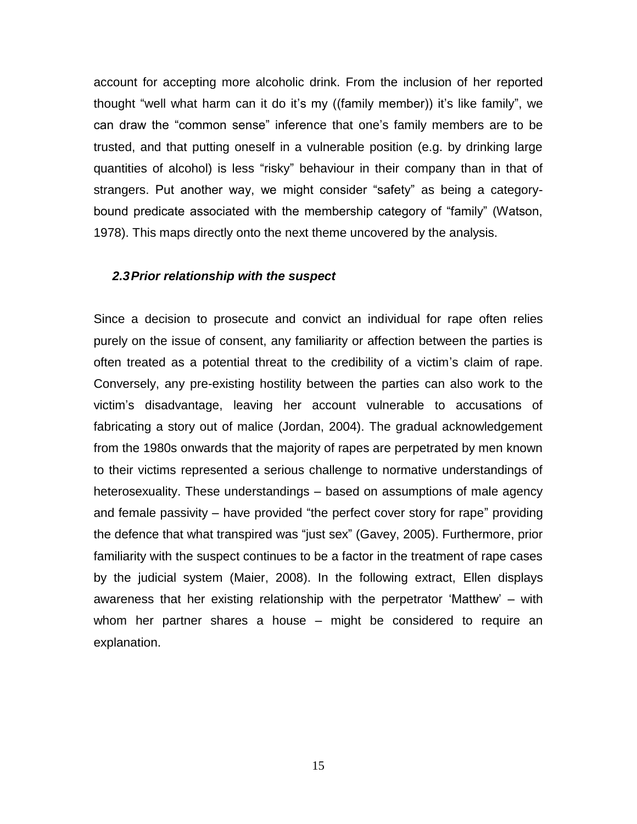account for accepting more alcoholic drink. From the inclusion of her reported thought "well what harm can it do it's my ((family member)) it's like family", we can draw the "common sense" inference that one's family members are to be trusted, and that putting oneself in a vulnerable position (e.g. by drinking large quantities of alcohol) is less "risky" behaviour in their company than in that of strangers. Put another way, we might consider "safety" as being a categorybound predicate associated with the membership category of "family" (Watson, 1978). This maps directly onto the next theme uncovered by the analysis.

## *2.3 Prior relationship with the suspect*

Since a decision to prosecute and convict an individual for rape often relies purely on the issue of consent, any familiarity or affection between the parties is often treated as a potential threat to the credibility of a victim's claim of rape. Conversely, any pre-existing hostility between the parties can also work to the victim's disadvantage, leaving her account vulnerable to accusations of fabricating a story out of malice (Jordan, 2004). The gradual acknowledgement from the 1980s onwards that the majority of rapes are perpetrated by men known to their victims represented a serious challenge to normative understandings of heterosexuality. These understandings – based on assumptions of male agency and female passivity – have provided "the perfect cover story for rape" providing the defence that what transpired was "just sex" (Gavey, 2005). Furthermore, prior familiarity with the suspect continues to be a factor in the treatment of rape cases by the judicial system (Maier, 2008). In the following extract, Ellen displays awareness that her existing relationship with the perpetrator 'Matthew' – with whom her partner shares a house – might be considered to require an explanation.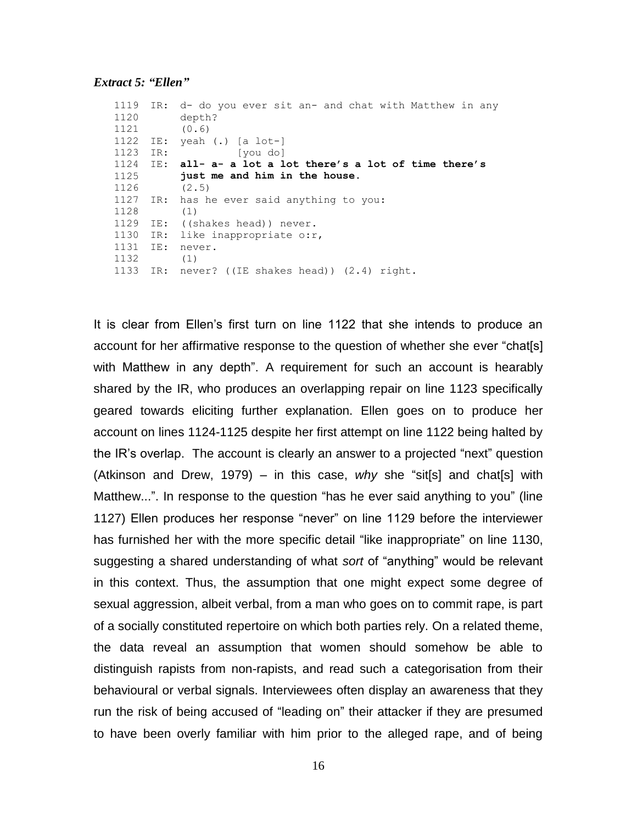#### *Extract 5: "Ellen"*

```
1119
IR:
d- do you ever sit an- and chat with Matthew in any 
1120
1121
1122
IE:
yeah (.) [a lot-]
1123
IR:
1124
IE:
all- a- a lot a lot there's a lot of time there's 
1125
1126
1127
IR:
has he ever said anything to you:
1128
1129
IE:
((shakes head)) never.
1130
IR:
like inappropriate o:r,
1131
IE:
never. 
1132
1133
IR:
never? ((IE shakes head)) (2.4) right.
          depth?
          (0.6)
                    [you do]
          just me and him in the house.
          (2.5)(1)
          (1)
```
It is clear from Ellen's first turn on line 1122 that she intends to produce an account for her affirmative response to the question of whether she ever "chat[s] with Matthew in any depth". A requirement for such an account is hearably shared by the IR, who produces an overlapping repair on line 1123 specifically geared towards eliciting further explanation. Ellen goes on to produce her account on lines 1124-1125 despite her first attempt on line 1122 being halted by the IR's overlap. The account is clearly an answer to a projected "next" question (Atkinson and Drew, 1979) – in this case, *why* she "sit[s] and chat[s] with Matthew...". In response to the question "has he ever said anything to you" (line 1127) Ellen produces her response "never" on line 1129 before the interviewer has furnished her with the more specific detail "like inappropriate" on line 1130, suggesting a shared understanding of what *sort* of "anything" would be relevant in this context. Thus, the assumption that one might expect some degree of sexual aggression, albeit verbal, from a man who goes on to commit rape, is part of a socially constituted repertoire on which both parties rely. On a related theme, the data reveal an assumption that women should somehow be able to distinguish rapists from non-rapists, and read such a categorisation from their behavioural or verbal signals. Interviewees often display an awareness that they run the risk of being accused of "leading on" their attacker if they are presumed to have been overly familiar with him prior to the alleged rape, and of being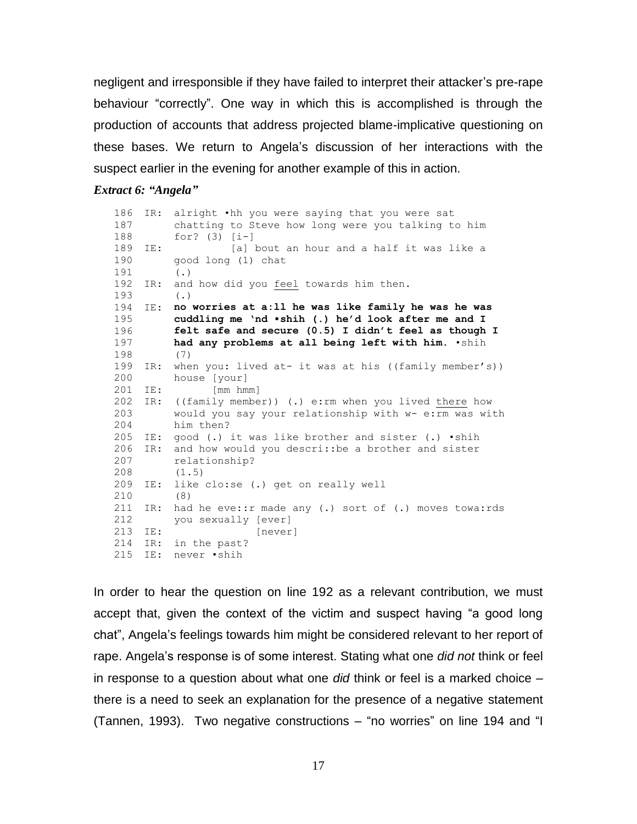negligent and irresponsible if they have failed to interpret their attacker's pre-rape behaviour "correctly". One way in which this is accomplished is through the production of accounts that address projected blame-implicative questioning on these bases. We return to Angela's discussion of her interactions with the suspect earlier in the evening for another example of this in action.

#### *Extract 6: "Angela"*

```
186
IR:
alright •hh you were saying that you were sat 
187
188
189
IE:
190
191
192
IR:
and how did you feel towards him then.
193
194
IE:
no worries at a:ll he was like family he was he was 
195
196
197
198
199
IR:
when you: lived at- it was at his ((family member's))
200
201
IE:
202
IR:
((family member)) (.) e:rm when you lived there how 
203
204
205
IE:
good (.) it was like brother and sister (.) •shih
206
IR:
and how would you descri::be a brother and sister 
207
208
209
IE:
like clo:se (.) get on really well
210
211
IR:
had he eve::r made any (.) sort of (.) moves towa:rds 
212
213
IE:
214
IR:
in the past?
215
IE:
never •shih
         chatting to Steve how long were you talking to him 
         for? (3) [i-] [a] bout an hour and a half it was like a 
        good long (1) chat
         (.)
         (.) 
         cuddling me 'nd •shih (.) he'd look after me and I 
         felt safe and secure (0.5) I didn't feel as though I 
         had any problems at all being left with him. •shih
         (7) 
         house [your]
                 [mm hmm]
         would you say your relationship with w- e:rm was with 
         him then? 
         relationship?
         (1.5)
         (8) 
        you sexually [ever]
                        [never]
```
In order to hear the question on line 192 as a relevant contribution, we must accept that, given the context of the victim and suspect having "a good long chat", Angela's feelings towards him might be considered relevant to her report of rape. Angela's response is of some interest. Stating what one *did not* think or feel in response to a question about what one *did* think or feel is a marked choice – there is a need to seek an explanation for the presence of a negative statement (Tannen, 1993). Two negative constructions – "no worries" on line 194 and "I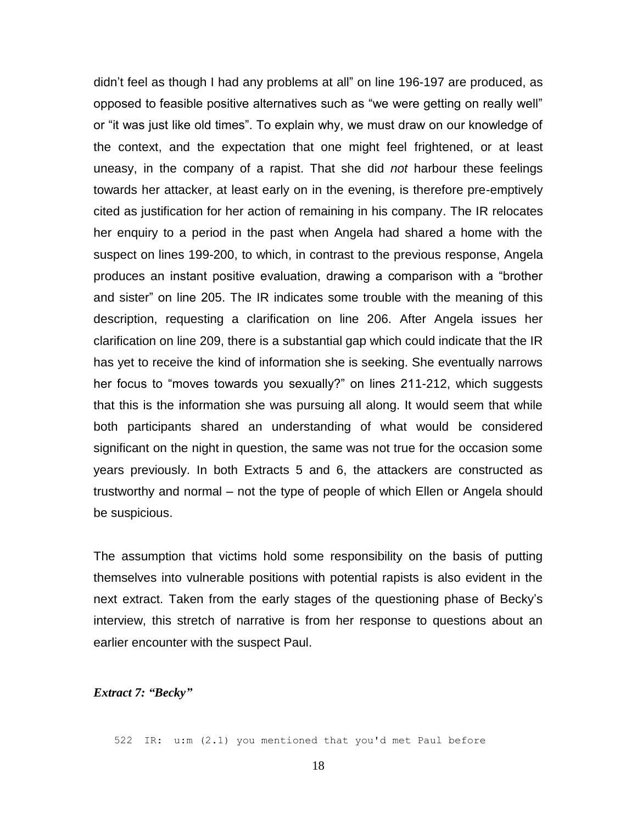didn't feel as though I had any problems at all" on line 196-197 are produced, as opposed to feasible positive alternatives such as "we were getting on really well" or "it was just like old times". To explain why, we must draw on our knowledge of the context, and the expectation that one might feel frightened, or at least uneasy, in the company of a rapist. That she did *not* harbour these feelings towards her attacker, at least early on in the evening, is therefore pre-emptively cited as justification for her action of remaining in his company. The IR relocates her enquiry to a period in the past when Angela had shared a home with the suspect on lines 199-200, to which, in contrast to the previous response, Angela produces an instant positive evaluation, drawing a comparison with a "brother and sister" on line 205. The IR indicates some trouble with the meaning of this description, requesting a clarification on line 206. After Angela issues her clarification on line 209, there is a substantial gap which could indicate that the IR has yet to receive the kind of information she is seeking. She eventually narrows her focus to "moves towards you sexually?" on lines 211-212, which suggests that this is the information she was pursuing all along. It would seem that while both participants shared an understanding of what would be considered significant on the night in question, the same was not true for the occasion some years previously. In both Extracts 5 and 6, the attackers are constructed as trustworthy and normal – not the type of people of which Ellen or Angela should be suspicious.

The assumption that victims hold some responsibility on the basis of putting themselves into vulnerable positions with potential rapists is also evident in the next extract. Taken from the early stages of the questioning phase of Becky's interview, this stretch of narrative is from her response to questions about an earlier encounter with the suspect Paul.

## *Extract 7: "Becky"*

522 IR: u:m (2.1) you mentioned that you'd met Paul before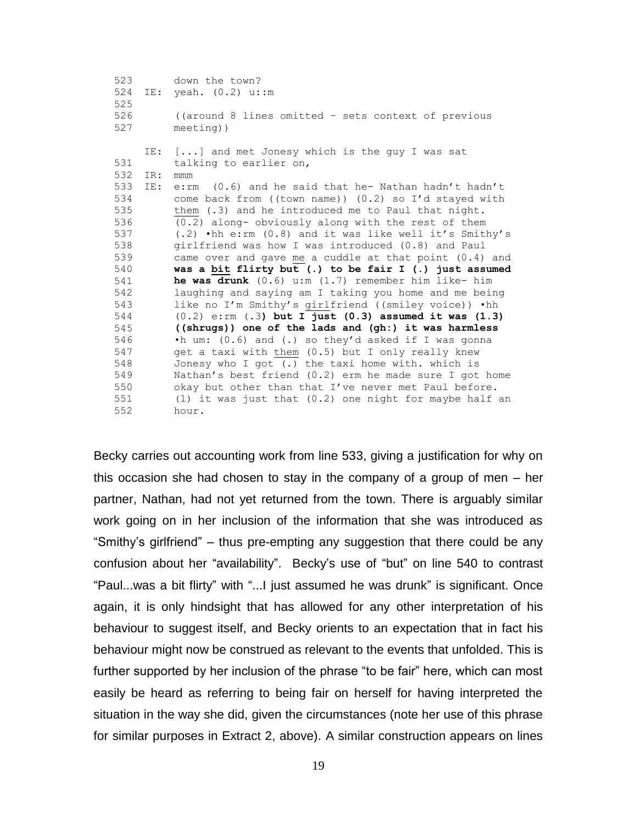| 523 |     | down the town?                                                |
|-----|-----|---------------------------------------------------------------|
| 524 | IE: | yeah. $(0.2)$ u:: m                                           |
| 525 |     |                                                               |
| 526 |     | ((around 8 lines omitted - sets context of previous           |
| 527 |     | $meeting)$ )                                                  |
|     |     |                                                               |
|     | IE: | $\lceil$ ] and met Jonesy which is the quy I was sat          |
| 531 |     | talking to earlier on,                                        |
| 532 | IR: | mmm                                                           |
| 533 | IE: | e: rm (0.6) and he said that he- Nathan hadn't hadn't         |
| 534 |     | come back from ((town name)) $(0.2)$ so I'd stayed with       |
| 535 |     | them (.3) and he introduced me to Paul that night.            |
| 536 |     | $(0.2)$ along- obviously along with the rest of them          |
| 537 |     | (.2) .hh e:rm (0.8) and it was like well it's Smithy's        |
| 538 |     | girlfriend was how I was introduced (0.8) and Paul            |
| 539 |     | came over and gave me a cuddle at that point $(0.4)$ and      |
| 540 |     | was a bit flirty but (.) to be fair I (.) just assumed        |
| 541 |     | he was drunk $(0.6)$ u:m $(1.7)$ remember him like- him       |
| 542 |     | laughing and saying am I taking you home and me being         |
| 543 |     | like no I'm Smithy's girlfriend ((smiley voice)) .hh          |
| 544 |     | $(0.2)$ e:rm $(.3)$ but I just $(0.3)$ assumed it was $(1.3)$ |
| 545 |     | ((shrugs)) one of the lads and (gh:) it was harmless          |
| 546 |     | .h um: (0.6) and (.) so they'd asked if I was gonna           |
| 547 |     | get a taxi with them (0.5) but I only really knew             |
| 548 |     | Jonesy who I got (.) the taxi home with. which is             |
| 549 |     | Nathan's best friend (0.2) erm he made sure I got home        |
| 550 |     | okay but other than that I've never met Paul before.          |
| 551 |     | (1) it was just that $(0.2)$ one night for maybe half an      |
| 552 |     | hour.                                                         |

Becky carries out accounting work from line 533, giving a justification for why on this occasion she had chosen to stay in the company of a group of men – her partner, Nathan, had not yet returned from the town. There is arguably similar work going on in her inclusion of the information that she was introduced as "Smithy's girlfriend" – thus pre-empting any suggestion that there could be any confusion about her "availability". Becky's use of "but" on line 540 to contrast "Paul...was a bit flirty" with "...I just assumed he was drunk" is significant. Once again, it is only hindsight that has allowed for any other interpretation of his behaviour to suggest itself, and Becky orients to an expectation that in fact his behaviour might now be construed as relevant to the events that unfolded. This is further supported by her inclusion of the phrase "to be fair" here, which can most easily be heard as referring to being fair on herself for having interpreted the situation in the way she did, given the circumstances (note her use of this phrase for similar purposes in Extract 2, above). A similar construction appears on lines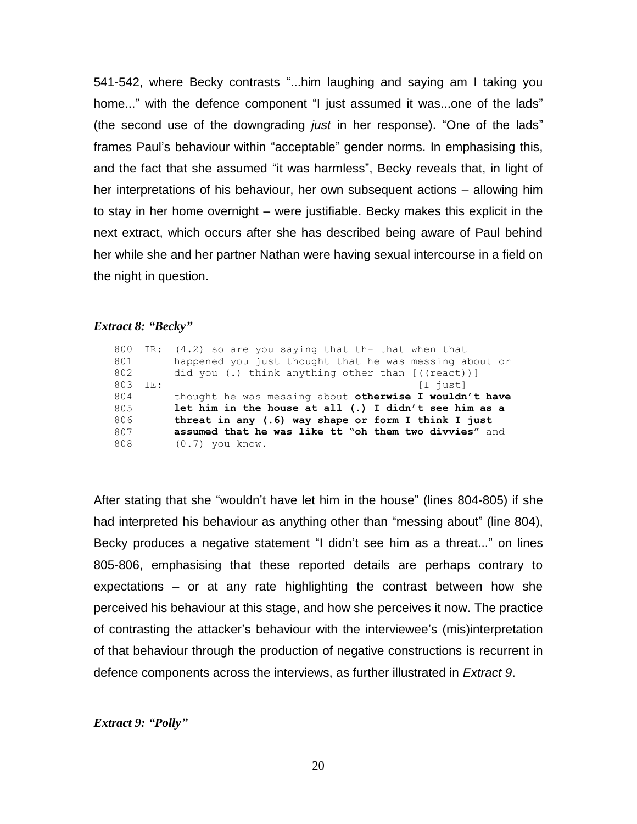541-542, where Becky contrasts "...him laughing and saying am I taking you home..." with the defence component "I just assumed it was...one of the lads" (the second use of the downgrading *just* in her response). "One of the lads" frames Paul's behaviour within "acceptable" gender norms. In emphasising this, and the fact that she assumed "it was harmless", Becky reveals that, in light of her interpretations of his behaviour, her own subsequent actions – allowing him to stay in her home overnight – were justifiable. Becky makes this explicit in the next extract, which occurs after she has described being aware of Paul behind her while she and her partner Nathan were having sexual intercourse in a field on the night in question.

# *Extract 8: "Becky"*

<span id="page-19-1"></span>

| 800 | IR: | $(4.2)$ so are you saying that th- that when that      |
|-----|-----|--------------------------------------------------------|
| 801 |     | happened you just thought that he was messing about or |
| 802 |     | did you (.) think anything other than [((react))]      |
| 803 | IE: | [I just]                                               |
| 804 |     | thought he was messing about otherwise I wouldn't have |
| 805 |     | let him in the house at all (.) I didn't see him as a  |
| 806 |     | threat in any (.6) way shape or form I think I just    |
| 807 |     | assumed that he was like tt "oh them two divvies" and  |
| 808 |     | $(0.7)$ you know.                                      |

After stating that she "wouldn't have let him in the house" (lines 804-805) if she had interpreted his behaviour as anything other than "messing about" (line 804), Becky produces a negative statement "I didn't see him as a threat..." on lines 805-806, emphasising that these reported details are perhaps contrary to expectations – or at any rate highlighting the contrast between how she perceived his behaviour at this stage, and how she perceives it now. The practice of contrasting the attacker's behaviour with the interviewee's (mis)interpretation of that behaviour through the production of negative constructions is recurrent in defence components across the interviews, as further illustrated in *[Extract 9](#page-19-0)*.

<span id="page-19-0"></span>*Extract 9: "Polly"*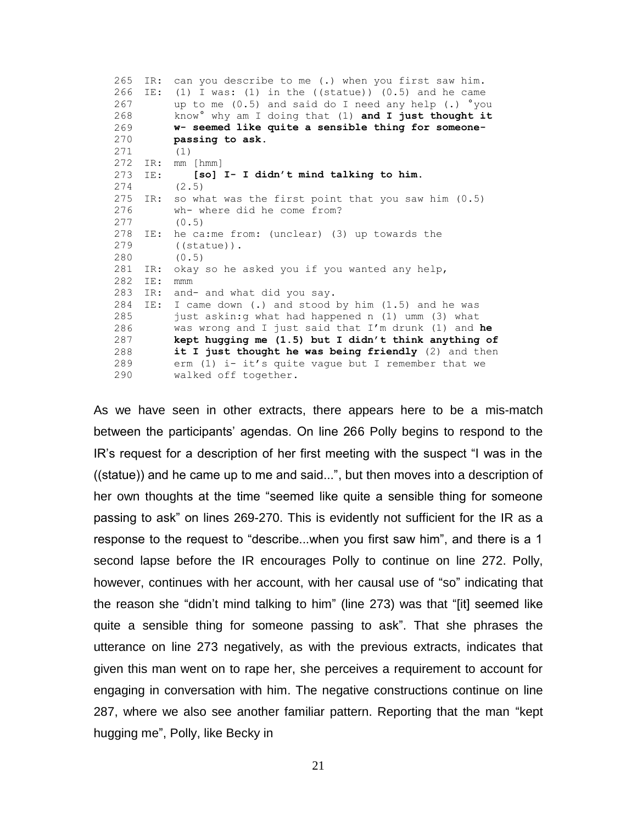265 IR: can you describe to me (.) when you first saw him. 266 IE: (1) I was: (1) in the ((statue)) (0.5) and he came 267 268 269 270 271 272 IR: mm [hmm] 273 IE: 274 275 IR: so what was the first point that you saw him (0.5) 276 277 278 IE: he ca:me from: (unclear) (3) up towards the 279 280 281 IR: okay so he asked you if you wanted any help, 282 IE: mmm 283 IR: and- and what did you say. 284 IE: I came down (.) and stood by him (1.5) and he was 285 286 287 288 289 290 up to me (0.5) and said do I need any help (.) °you know° why am I doing that (1) **and I just thought it w- seemed like quite a sensible thing for someonepassing to ask.**  (1)  **[so] I- I didn't mind talking to him.** (2.5) wh- where did he come from?  $(0.5)$ ((statue)).  $(0.5)$ just askin:g what had happened n (1) umm (3) what was wrong and I just said that I'm drunk (1) and **he kept hugging me (1.5) but I didn't think anything of it I just thought he was being friendly** (2) and then erm (1) i- it's quite vague but I remember that we walked off together.

As we have seen in other extracts, there appears here to be a mis-match between the participants' agendas. On line 266 Polly begins to respond to the IR's request for a description of her first meeting with the suspect "I was in the ((statue)) and he came up to me and said...", but then moves into a description of her own thoughts at the time "seemed like quite a sensible thing for someone passing to ask" on lines 269-270. This is evidently not sufficient for the IR as a response to the request to "describe...when you first saw him", and there is a 1 second lapse before the IR encourages Polly to continue on line 272. Polly, however, continues with her account, with her causal use of "so" indicating that the reason she "didn't mind talking to him" (line 273) was that "[it] seemed like quite a sensible thing for someone passing to ask". That she phrases the utterance on line 273 negatively, as with the previous extracts, indicates that given this man went on to rape her, she perceives a requirement to account for engaging in conversation with him. The negative constructions continue on line 287, where we also see another familiar pattern. Reporting that the man "kept hugging me", Polly, like Becky in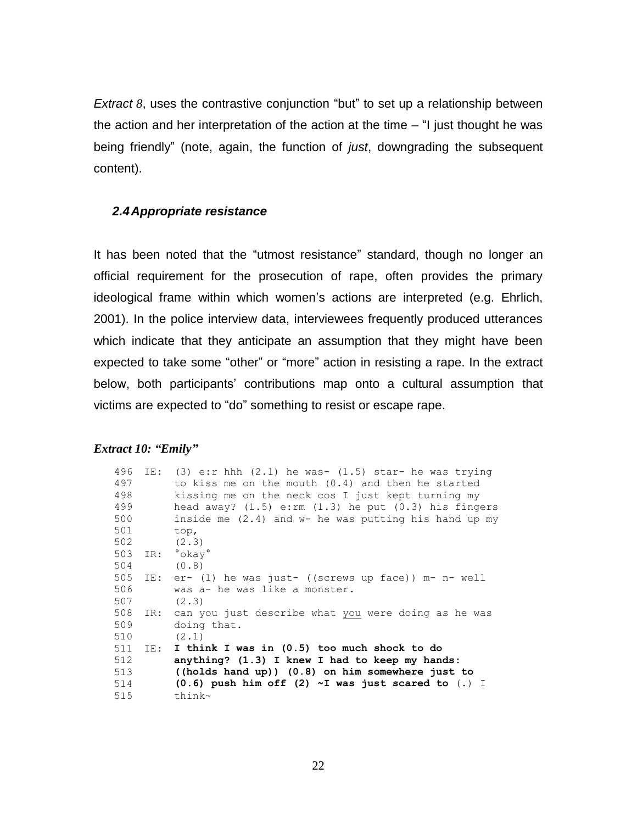*[Extract](#page-19-1) 8*, uses the contrastive conjunction "but" to set up a relationship between the action and her interpretation of the action at the time – "I just thought he was being friendly" (note, again, the function of *just*, downgrading the subsequent content).

## *2.4 Appropriate resistance*

It has been noted that the "utmost resistance" standard, though no longer an official requirement for the prosecution of rape, often provides the primary ideological frame within which women's actions are interpreted (e.g. Ehrlich, 2001). In the police interview data, interviewees frequently produced utterances which indicate that they anticipate an assumption that they might have been expected to take some "other" or "more" action in resisting a rape. In the extract below, both participants' contributions map onto a cultural assumption that victims are expected to "do" something to resist or escape rape.

#### *Extract 10: "Emily"*

| 496 |     | IE: $(3)$ e:r hhh $(2.1)$ he was- $(1.5)$ star- he was trying |
|-----|-----|---------------------------------------------------------------|
| 497 |     | to kiss me on the mouth $(0.4)$ and then he started           |
| 498 |     | kissing me on the neck cos I just kept turning my             |
| 499 |     | head away? $(1.5)$ e:rm $(1.3)$ he put $(0.3)$ his fingers    |
| 500 |     | inside me $(2.4)$ and w- he was putting his hand up my        |
| 501 |     | top,                                                          |
| 502 |     | (2.3)                                                         |
| 503 | IR: | $^{\circ}$ okay $^{\circ}$                                    |
| 504 |     | (0.8)                                                         |
| 505 |     | IE: $er- (1)$ he was just- ((screws up face)) m- n- well      |
| 506 |     | was a- he was like a monster.                                 |
| 507 |     | (2.3)                                                         |
| 508 |     | IR: can you just describe what you were doing as he was       |
| 509 |     | doing that.                                                   |
| 510 |     | (2.1)                                                         |
| 511 |     | IE: I think I was in (0.5) too much shock to do               |
| 512 |     | anything? $(1.3)$ I knew I had to keep my hands:              |
| 513 |     | ((holds hand up)) (0.8) on him somewhere just to              |
| 514 |     | $(0.6)$ push him off $(2)$ ~I was just scared to $(.)$ I      |
| 515 |     | think~                                                        |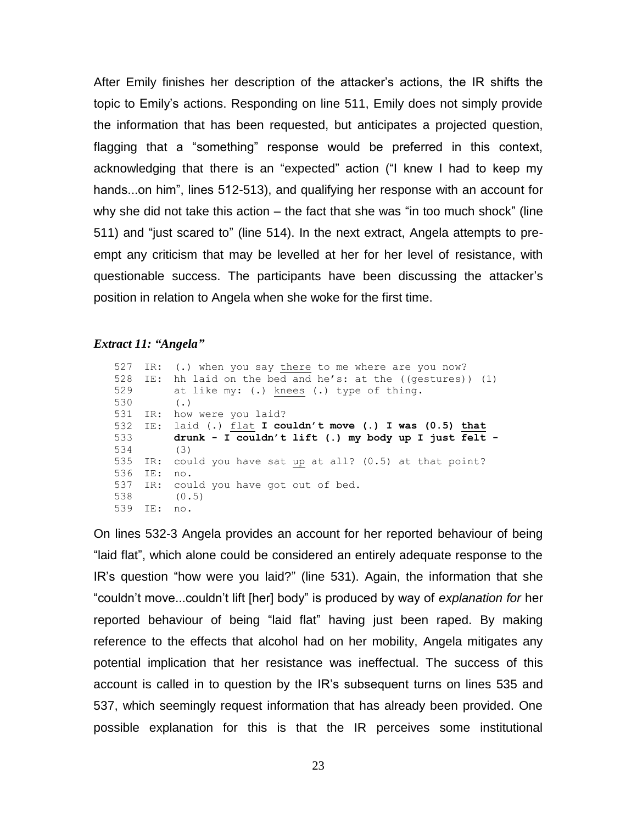After Emily finishes her description of the attacker's actions, the IR shifts the topic to Emily's actions. Responding on line 511, Emily does not simply provide the information that has been requested, but anticipates a projected question, flagging that a "something" response would be preferred in this context, acknowledging that there is an "expected" action ("I knew I had to keep my hands...on him", lines 512-513), and qualifying her response with an account for why she did not take this action – the fact that she was "in too much shock" (line 511) and "just scared to" (line 514). In the next extract, Angela attempts to preempt any criticism that may be levelled at her for her level of resistance, with questionable success. The participants have been discussing the attacker's position in relation to Angela when she woke for the first time.

#### *Extract 11: "Angela"*

527 IR: (.) when you say there to me where are you now? 528 IE: hh laid on the bed and he's: at the ((gestures)) (1) 529 530 531 IR: how were you laid? 532 IE: laid (.) flat **I couldn't move (.) I was (0.5) that** 533 534 535 IR: could you have sat up at all? (0.5) at that point? 536 IE: no. 537 IR: could you have got out of bed. 538 539 IE: no. at like my: (.) knees (.) type of thing. (.) **drunk - I couldn't lift (.) my body up I just felt -** (3) (0.5)

On lines 532-3 Angela provides an account for her reported behaviour of being "laid flat", which alone could be considered an entirely adequate response to the IR's question "how were you laid?" (line 531). Again, the information that she "couldn't move...couldn't lift [her] body" is produced by way of *explanation for* her reported behaviour of being "laid flat" having just been raped. By making reference to the effects that alcohol had on her mobility, Angela mitigates any potential implication that her resistance was ineffectual. The success of this account is called in to question by the IR's subsequent turns on lines 535 and 537, which seemingly request information that has already been provided. One possible explanation for this is that the IR perceives some institutional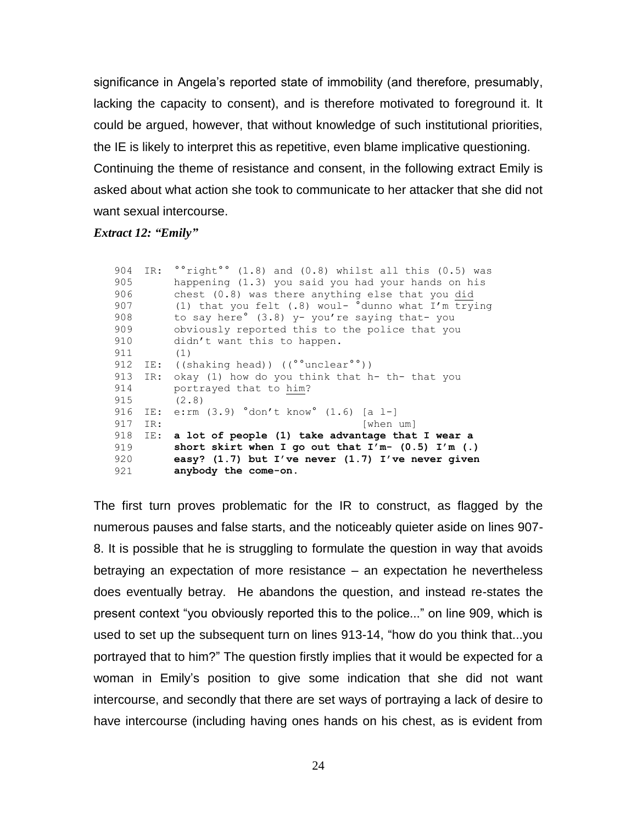significance in Angela's reported state of immobility (and therefore, presumably, lacking the capacity to consent), and is therefore motivated to foreground it. It could be argued, however, that without knowledge of such institutional priorities, the IE is likely to interpret this as repetitive, even blame implicative questioning. Continuing the theme of resistance and consent, in the following extract Emily is asked about what action she took to communicate to her attacker that she did not want sexual intercourse.

*Extract 12: "Emily"*

904 IR: °°right°° (1.8) and (0.8) whilst all this (0.5) was 905 906 907 908 909 910 911 912 IE: ((shaking head)) ((°°unclear°°)) 913 IR: okay (1) how do you think that h- th- that you 914 915 916 IE: e:rm (3.9) °don't know° (1.6) [a l-] 917 IR: 918 IE: **a lot of people (1) take advantage that I wear a**  919 920 921 happening (1.3) you said you had your hands on his chest (0.8) was there anything else that you did (1) that you felt (.8) woul-  $\textdegree$  dunno what I'm  $\text{trying}$ to say here<sup>°</sup>  $(3.8)$  y- you're saying that- you obviously reported this to the police that you didn't want this to happen. (1) portrayed that to him? (2.8) [when um] **short skirt when I go out that I'm- (0.5) I'm (.) easy? (1.7) but I've never (1.7) I've never given anybody the come-on.**

The first turn proves problematic for the IR to construct, as flagged by the numerous pauses and false starts, and the noticeably quieter aside on lines 907- 8. It is possible that he is struggling to formulate the question in way that avoids betraying an expectation of more resistance – an expectation he nevertheless does eventually betray. He abandons the question, and instead re-states the present context "you obviously reported this to the police..." on line 909, which is used to set up the subsequent turn on lines 913-14, "how do you think that...you portrayed that to him?" The question firstly implies that it would be expected for a woman in Emily's position to give some indication that she did not want intercourse, and secondly that there are set ways of portraying a lack of desire to have intercourse (including having ones hands on his chest, as is evident from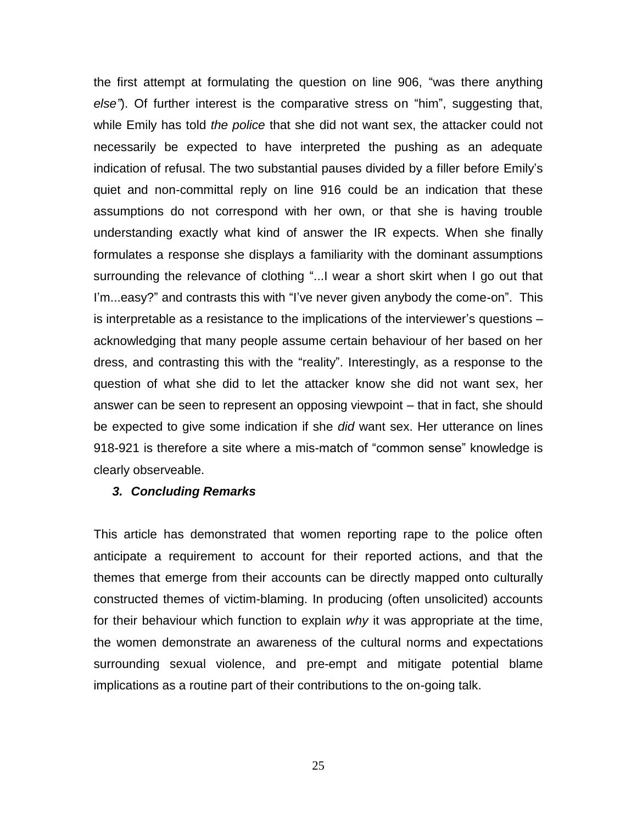the first attempt at formulating the question on line 906, "was there anything *else"*). Of further interest is the comparative stress on "him", suggesting that, while Emily has told *the police* that she did not want sex, the attacker could not necessarily be expected to have interpreted the pushing as an adequate indication of refusal. The two substantial pauses divided by a filler before Emily's quiet and non-committal reply on line 916 could be an indication that these assumptions do not correspond with her own, or that she is having trouble understanding exactly what kind of answer the IR expects. When she finally formulates a response she displays a familiarity with the dominant assumptions surrounding the relevance of clothing "...I wear a short skirt when I go out that I'm...easy?" and contrasts this with "I've never given anybody the come-on". This is interpretable as a resistance to the implications of the interviewer's questions – acknowledging that many people assume certain behaviour of her based on her dress, and contrasting this with the "reality". Interestingly, as a response to the question of what she did to let the attacker know she did not want sex, her answer can be seen to represent an opposing viewpoint – that in fact, she should be expected to give some indication if she *did* want sex. Her utterance on lines 918-921 is therefore a site where a mis-match of "common sense" knowledge is clearly observeable.

#### *3. Concluding Remarks*

This article has demonstrated that women reporting rape to the police often anticipate a requirement to account for their reported actions, and that the themes that emerge from their accounts can be directly mapped onto culturally constructed themes of victim-blaming. In producing (often unsolicited) accounts for their behaviour which function to explain *why* it was appropriate at the time, the women demonstrate an awareness of the cultural norms and expectations surrounding sexual violence, and pre-empt and mitigate potential blame implications as a routine part of their contributions to the on-going talk.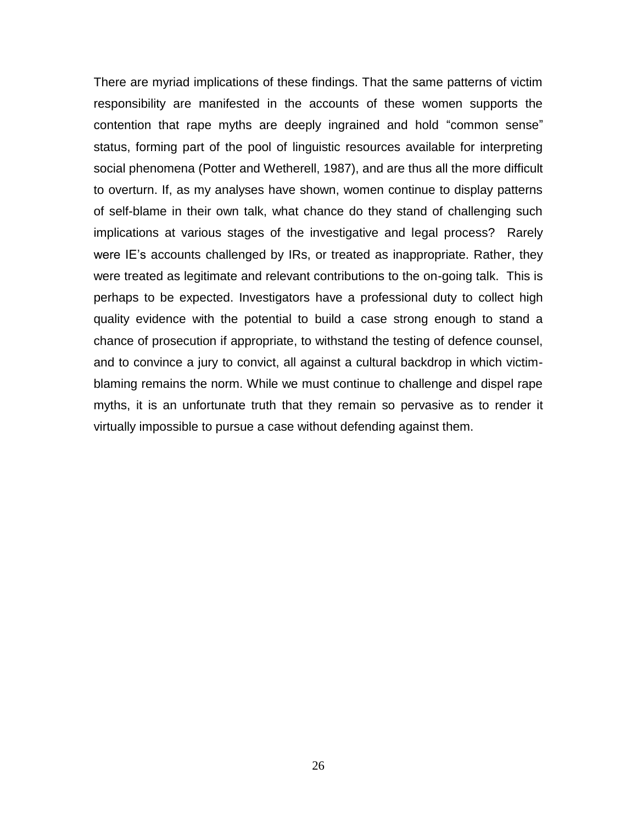There are myriad implications of these findings. That the same patterns of victim responsibility are manifested in the accounts of these women supports the contention that rape myths are deeply ingrained and hold "common sense" status, forming part of the pool of linguistic resources available for interpreting social phenomena (Potter and Wetherell, 1987), and are thus all the more difficult to overturn. If, as my analyses have shown, women continue to display patterns of self-blame in their own talk, what chance do they stand of challenging such implications at various stages of the investigative and legal process? Rarely were IE's accounts challenged by IRs, or treated as inappropriate. Rather, they were treated as legitimate and relevant contributions to the on-going talk. This is perhaps to be expected. Investigators have a professional duty to collect high quality evidence with the potential to build a case strong enough to stand a chance of prosecution if appropriate, to withstand the testing of defence counsel, and to convince a jury to convict, all against a cultural backdrop in which victimblaming remains the norm. While we must continue to challenge and dispel rape myths, it is an unfortunate truth that they remain so pervasive as to render it virtually impossible to pursue a case without defending against them.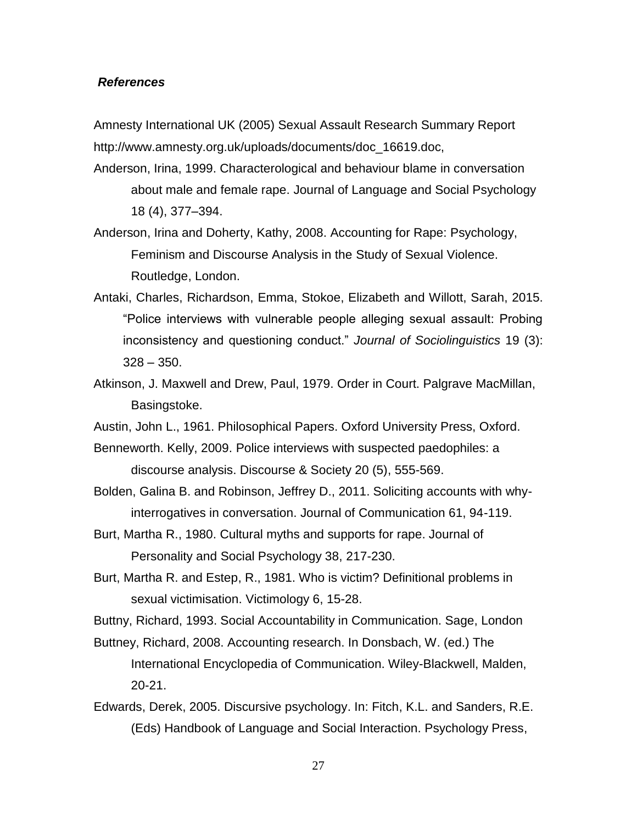#### *References*

Amnesty International UK (2005) Sexual Assault Research Summary Report http://www.amnesty.org.uk/uploads/documents/doc\_16619.doc,

- Anderson, Irina, 1999. Characterological and behaviour blame in conversation about male and female rape. Journal of Language and Social Psychology 18 (4), 377–394.
- Anderson, Irina and Doherty, Kathy, 2008. Accounting for Rape: Psychology, Feminism and Discourse Analysis in the Study of Sexual Violence. Routledge, London.
- Antaki, Charles, Richardson, Emma, Stokoe, Elizabeth and Willott, Sarah, 2015. "Police interviews with vulnerable people alleging sexual assault: Probing inconsistency and questioning conduct." *Journal of Sociolinguistics* 19 (3): 328 – 350.
- Atkinson, J. Maxwell and Drew, Paul, 1979. Order in Court. Palgrave MacMillan, Basingstoke.

Austin, John L., 1961. Philosophical Papers. Oxford University Press, Oxford.

- Benneworth. Kelly, 2009. Police interviews with suspected paedophiles: a discourse analysis. Discourse & Society 20 (5), 555-569.
- Bolden, Galina B. and Robinson, Jeffrey D., 2011. Soliciting accounts with whyinterrogatives in conversation. Journal of Communication 61, 94-119.
- Burt, Martha R., 1980. Cultural myths and supports for rape. Journal of Personality and Social Psychology 38, 217-230.
- Burt, Martha R. and Estep, R., 1981. Who is victim? Definitional problems in sexual victimisation. Victimology 6, 15-28.

Buttny, Richard, 1993. Social Accountability in Communication. Sage, London

- Buttney, Richard, 2008. Accounting research. In Donsbach, W. (ed.) The International Encyclopedia of Communication. Wiley-Blackwell, Malden, 20-21.
- Edwards, Derek, 2005. Discursive psychology. In: Fitch, K.L. and Sanders, R.E. (Eds) Handbook of Language and Social Interaction. Psychology Press,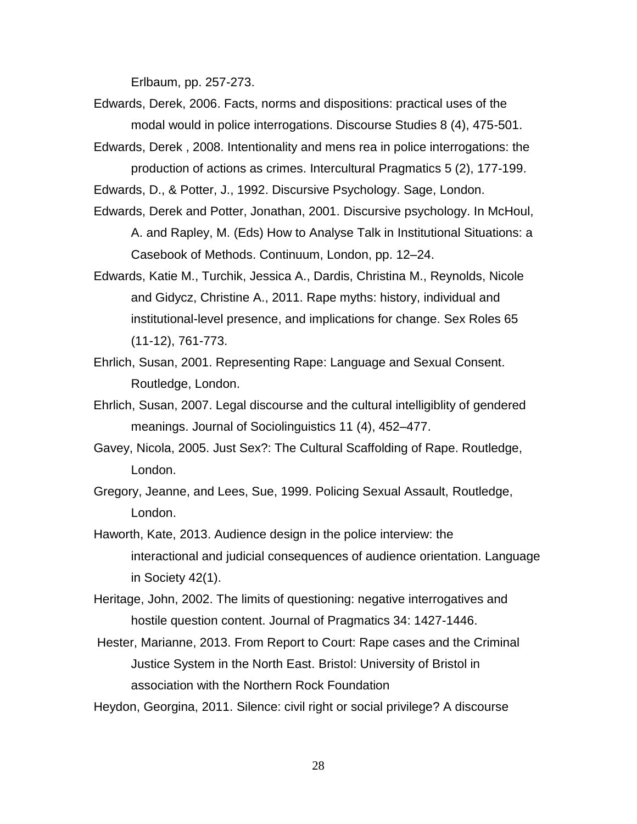Erlbaum, pp. 257-273.

- Edwards, Derek, 2006. Facts, norms and dispositions: practical uses of the modal would in police interrogations. Discourse Studies 8 (4), 475-501.
- Edwards, Derek , 2008. Intentionality and mens rea in police interrogations: the production of actions as crimes. Intercultural Pragmatics 5 (2), 177-199.
- Edwards, D., & Potter, J., 1992. Discursive Psychology. Sage, London.
- Edwards, Derek and Potter, Jonathan, 2001. Discursive psychology. In McHoul, A. and Rapley, M. (Eds) How to Analyse Talk in Institutional Situations: a Casebook of Methods. Continuum, London, pp. 12–24.
- Edwards, Katie M., Turchik, Jessica A., Dardis, Christina M., Reynolds, Nicole and Gidycz, Christine A., 2011. Rape myths: history, individual and institutional-level presence, and implications for change. Sex Roles 65 (11-12), 761-773.
- Ehrlich, Susan, 2001. Representing Rape: Language and Sexual Consent. Routledge, London.
- Ehrlich, Susan, 2007. Legal discourse and the cultural intelligiblity of gendered meanings. Journal of Sociolinguistics 11 (4), 452–477.
- Gavey, Nicola, 2005. Just Sex?: The Cultural Scaffolding of Rape. Routledge, London.
- Gregory, Jeanne, and Lees, Sue, 1999. Policing Sexual Assault, Routledge, London.
- Haworth, Kate, 2013. Audience design in the police interview: the interactional and judicial consequences of audience orientation. Language in Society 42(1).
- Heritage, John, 2002. The limits of questioning: negative interrogatives and hostile question content. Journal of Pragmatics 34: 1427-1446.
- Hester, Marianne, 2013. From Report to Court: Rape cases and the Criminal Justice System in the North East. Bristol: University of Bristol in association with the Northern Rock Foundation
- Heydon, Georgina, 2011. Silence: civil right or social privilege? A discourse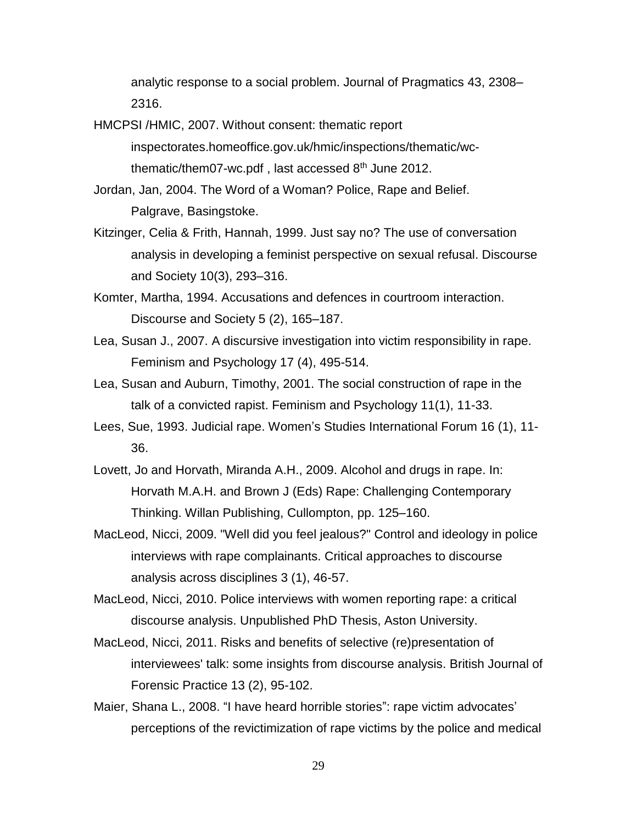analytic response to a social problem. Journal of Pragmatics 43, 2308– 2316.

HMCPSI /HMIC, 2007. Without consent: thematic report inspectorates.homeoffice.gov.uk/hmic/inspections/thematic/wc thematic/them07-wc.pdf, last accessed  $8<sup>th</sup>$  June 2012.

Jordan, Jan, 2004. The Word of a Woman? Police, Rape and Belief. Palgrave, Basingstoke.

Kitzinger, Celia & Frith, Hannah, 1999. Just say no? The use of conversation analysis in developing a feminist perspective on sexual refusal. Discourse and Society 10(3), 293–316.

Komter, Martha, 1994. Accusations and defences in courtroom interaction. Discourse and Society 5 (2), 165–187.

- Lea, Susan J., 2007. A discursive investigation into victim responsibility in rape. Feminism and Psychology 17 (4), 495-514.
- Lea, Susan and Auburn, Timothy, 2001. The social construction of rape in the talk of a convicted rapist. Feminism and Psychology 11(1), 11-33.
- Lees, Sue, 1993. Judicial rape. Women's Studies International Forum 16 (1), 11- 36.
- Lovett, Jo and Horvath, Miranda A.H., 2009. Alcohol and drugs in rape. In: Horvath M.A.H. and Brown J (Eds) Rape: Challenging Contemporary Thinking. Willan Publishing, Cullompton, pp. 125–160.
- MacLeod, Nicci, 2009. "Well did you feel jealous?" Control and ideology in police interviews with rape complainants. Critical approaches to discourse analysis across disciplines 3 (1), 46-57.

MacLeod, Nicci, 2010. Police interviews with women reporting rape: a critical discourse analysis. Unpublished PhD Thesis, Aston University.

- MacLeod, Nicci, 2011. Risks and benefits of selective (re)presentation of interviewees' talk: some insights from discourse analysis. British Journal of Forensic Practice 13 (2), 95-102.
- Maier, Shana L., 2008. "I have heard horrible stories": rape victim advocates' perceptions of the revictimization of rape victims by the police and medical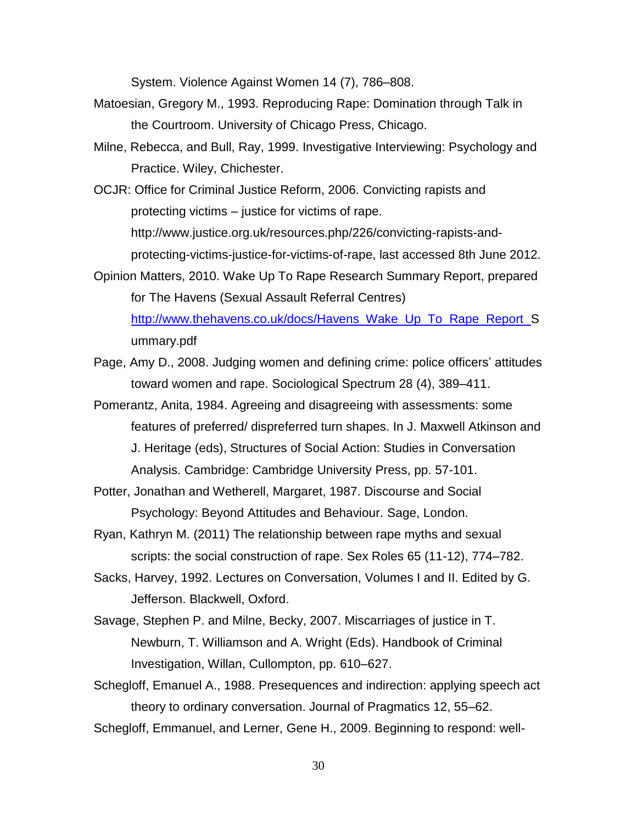System. Violence Against Women 14 (7), 786–808.

- Matoesian, Gregory M., 1993. Reproducing Rape: Domination through Talk in the Courtroom. University of Chicago Press, Chicago.
- Milne, Rebecca, and Bull, Ray, 1999. Investigative Interviewing: Psychology and Practice. Wiley, Chichester.
- OCJR: Office for Criminal Justice Reform, 2006. Convicting rapists and protecting victims – justice for victims of rape. http://www.justice.org.uk/resources.php/226/convicting-rapists-andprotecting-victims-justice-for-victims-of-rape, last accessed 8th June 2012.
- Opinion Matters, 2010. Wake Up To Rape Research Summary Report, prepared for The Havens (Sexual Assault Referral Centres) [http://www.thehavens.co.uk/docs/Havens\\_Wake\\_Up\\_To\\_Rape\\_Report\\_S](http://www.thehavens.co.uk/docs/Havens_Wake_Up_To_Rape_Report_) ummary.pdf
- Page, Amy D., 2008. Judging women and defining crime: police officers' attitudes toward women and rape. Sociological Spectrum 28 (4), 389–411.
- Pomerantz, Anita, 1984. Agreeing and disagreeing with assessments: some features of preferred/ dispreferred turn shapes. In J. Maxwell Atkinson and J. Heritage (eds), Structures of Social Action: Studies in Conversation Analysis. Cambridge: Cambridge University Press, pp. 57-101.
- Potter, Jonathan and Wetherell, Margaret, 1987. Discourse and Social Psychology: Beyond Attitudes and Behaviour. Sage, London.
- Ryan, Kathryn M. (2011) The relationship between rape myths and sexual scripts: the social construction of rape. Sex Roles 65 (11-12), 774–782.
- Sacks, Harvey, 1992. Lectures on Conversation, Volumes I and II. Edited by G. Jefferson. Blackwell, Oxford.
- Savage, Stephen P. and Milne, Becky, 2007. Miscarriages of justice in T. Newburn, T. Williamson and A. Wright (Eds). Handbook of Criminal Investigation, Willan, Cullompton, pp. 610–627.
- Schegloff, Emanuel A., 1988. Presequences and indirection: applying speech act theory to ordinary conversation. Journal of Pragmatics 12, 55–62.
- Schegloff, Emmanuel, and Lerner, Gene H., 2009. Beginning to respond: well-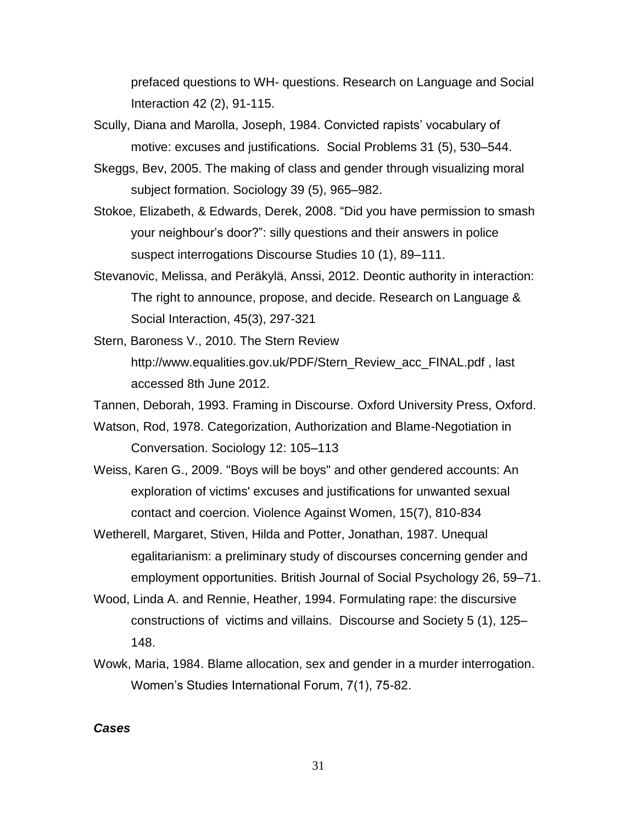prefaced questions to WH- questions. Research on Language and Social Interaction 42 (2), 91-115.

- Scully, Diana and Marolla, Joseph, 1984. Convicted rapists' vocabulary of motive: excuses and justifications. Social Problems 31 (5), 530–544.
- Skeggs, Bev, 2005. The making of class and gender through visualizing moral subject formation. Sociology 39 (5), 965–982.
- Stokoe, Elizabeth, & Edwards, Derek, 2008. "Did you have permission to smash your neighbour's door?": silly questions and their answers in police suspect interrogations Discourse Studies 10 (1), 89–111.
- Stevanovic, Melissa, and Peräkylä, Anssi, 2012. Deontic authority in interaction: The right to announce, propose, and decide. Research on Language & Social Interaction, 45(3), 297-321
- Stern, Baroness V., 2010. The Stern Review http://www.equalities.gov.uk/PDF/Stern\_Review\_acc\_FINAL.pdf , last accessed 8th June 2012.

Tannen, Deborah, 1993. Framing in Discourse. Oxford University Press, Oxford.

- Watson, Rod, 1978. Categorization, Authorization and Blame-Negotiation in Conversation. Sociology 12: 105–113
- Weiss, Karen G., 2009. "Boys will be boys" and other gendered accounts: An exploration of victims' excuses and justifications for unwanted sexual contact and coercion. Violence Against Women, 15(7), 810-834
- Wetherell, Margaret, Stiven, Hilda and Potter, Jonathan, 1987. Unequal egalitarianism: a preliminary study of discourses concerning gender and employment opportunities. British Journal of Social Psychology 26, 59–71.
- Wood, Linda A. and Rennie, Heather, 1994. Formulating rape: the discursive constructions of victims and villains. Discourse and Society 5 (1), 125– 148.
- Wowk, Maria, 1984. Blame allocation, sex and gender in a murder interrogation. Women's Studies International Forum, 7(1), 75-82.

### *Cases*